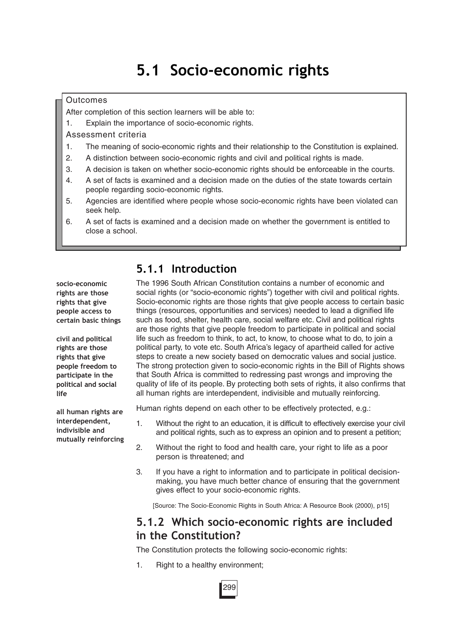# **5.1 Socio-economic rights**

#### **Outcomes**

After completion of this section learners will be able to:

1. Explain the importance of socio-economic rights.

Assessment criteria

- 1. The meaning of socio-economic rights and their relationship to the Constitution is explained.
- 2. A distinction between socio-economic rights and civil and political rights is made.
- 3. A decision is taken on whether socio-economic rights should be enforceable in the courts.
- 4. A set of facts is examined and a decision made on the duties of the state towards certain people regarding socio-economic rights.
- 5. Agencies are identified where people whose socio-economic rights have been violated can seek help.
- 6. A set of facts is examined and a decision made on whether the government is entitled to close a school.

**socio-economic rights are those rights that give people access to certain basic things**

**civil and political rights are those rights that give people freedom to participate in the political and social life**

**all human rights are interdependent, indivisible and mutually reinforcing**

# **5.1.1 Introduction**

The 1996 South African Constitution contains a number of economic and social rights (or "socio-economic rights") together with civil and political rights. Socio-economic rights are those rights that give people access to certain basic things (resources, opportunities and services) needed to lead a dignified life such as food, shelter, health care, social welfare etc. Civil and political rights are those rights that give people freedom to participate in political and social life such as freedom to think, to act, to know, to choose what to do, to join a political party, to vote etc. South Africa's legacy of apartheid called for active steps to create a new society based on democratic values and social justice. The strong protection given to socio-economic rights in the Bill of Rights shows that South Africa is committed to redressing past wrongs and improving the quality of life of its people. By protecting both sets of rights, it also confirms that all human rights are interdependent, indivisible and mutually reinforcing.

Human rights depend on each other to be effectively protected, e.g.:

- 1. Without the right to an education, it is difficult to effectively exercise your civil and political rights, such as to express an opinion and to present a petition;
- 2. Without the right to food and health care, your right to life as a poor person is threatened; and
- 3. If you have a right to information and to participate in political decisionmaking, you have much better chance of ensuring that the government gives effect to your socio-economic rights.

[Source: The Socio-Economic Rights in South Africa: A Resource Book (2000), p15]

# **5.1.2 Which socio-economic rights are included in the Constitution?**

The Constitution protects the following socio-economic rights:

1. Right to a healthy environment;

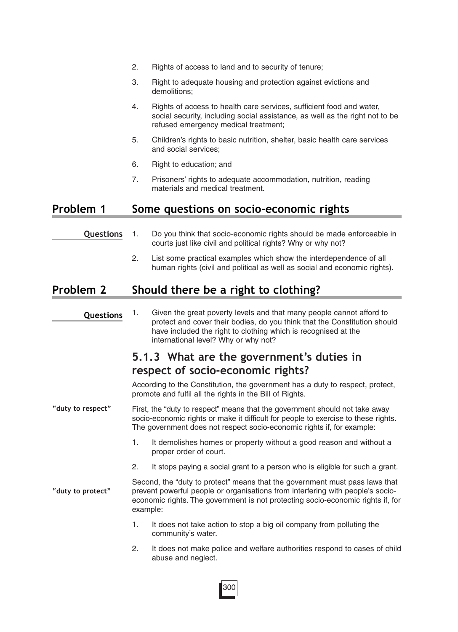- 2. Rights of access to land and to security of tenure;
- 3. Right to adequate housing and protection against evictions and demolitions;
- 4. Rights of access to health care services, sufficient food and water, social security, including social assistance, as well as the right not to be refused emergency medical treatment;
- 5. Children's rights to basic nutrition, shelter, basic health care services and social services;
- 6. Right to education; and
- 7. Prisoners' rights to adequate accommodation, nutrition, reading materials and medical treatment.

### **Problem 1 Some questions on socio-economic rights**

- 1. Do you think that socio-economic rights should be made enforceable in courts just like civil and political rights? Why or why not? **Questions**
	- 2. List some practical examples which show the interdependence of all human rights (civil and political as well as social and economic rights).

### **Problem 2 Should there be a right to clothing?**

1. Given the great poverty levels and that many people cannot afford to protect and cover their bodies, do you think that the Constitution should have included the right to clothing which is recognised at the international level? Why or why not? **Questions**

## **5.1.3 What are the government's duties in respect of socio-economic rights?**

According to the Constitution, the government has a duty to respect, protect, promote and fulfil all the rights in the Bill of Rights.

First, the "duty to respect" means that the government should not take away socio-economic rights or make it difficult for people to exercise to these rights. The government does not respect socio-economic rights if, for example: **"duty to respect"**

- 1. It demolishes homes or property without a good reason and without a proper order of court.
- 2. It stops paying a social grant to a person who is eligible for such a grant.

Second, the "duty to protect" means that the government must pass laws that prevent powerful people or organisations from interfering with people's socioeconomic rights. The government is not protecting socio-economic rights if, for example: **"duty to protect"**

- 1. It does not take action to stop a big oil company from polluting the community's water.
- 2. It does not make police and welfare authorities respond to cases of child abuse and neglect.

300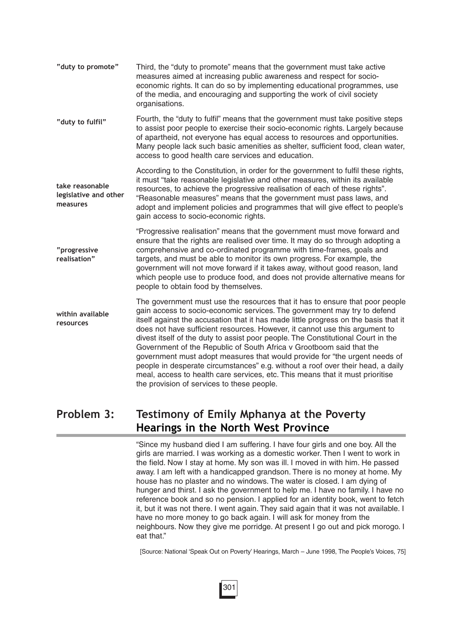| "duty to promote"                                    | Third, the "duty to promote" means that the government must take active<br>measures aimed at increasing public awareness and respect for socio-<br>economic rights. It can do so by implementing educational programmes, use<br>of the media, and encouraging and supporting the work of civil society<br>organisations.                                                                                                                                                                                                                                                                                                                                                                                                                                                                   |
|------------------------------------------------------|--------------------------------------------------------------------------------------------------------------------------------------------------------------------------------------------------------------------------------------------------------------------------------------------------------------------------------------------------------------------------------------------------------------------------------------------------------------------------------------------------------------------------------------------------------------------------------------------------------------------------------------------------------------------------------------------------------------------------------------------------------------------------------------------|
| "duty to fulfil"                                     | Fourth, the "duty to fulfil" means that the government must take positive steps<br>to assist poor people to exercise their socio-economic rights. Largely because<br>of apartheid, not everyone has equal access to resources and opportunities.<br>Many people lack such basic amenities as shelter, sufficient food, clean water,<br>access to good health care services and education.                                                                                                                                                                                                                                                                                                                                                                                                  |
| take reasonable<br>legislative and other<br>measures | According to the Constitution, in order for the government to fulfil these rights,<br>it must "take reasonable legislative and other measures, within its available<br>resources, to achieve the progressive realisation of each of these rights".<br>"Reasonable measures" means that the government must pass laws, and<br>adopt and implement policies and programmes that will give effect to people's<br>gain access to socio-economic rights.                                                                                                                                                                                                                                                                                                                                        |
| "progressive<br>realisation"                         | "Progressive realisation" means that the government must move forward and<br>ensure that the rights are realised over time. It may do so through adopting a<br>comprehensive and co-ordinated programme with time-frames, goals and<br>targets, and must be able to monitor its own progress. For example, the<br>government will not move forward if it takes away, without good reason, land<br>which people use to produce food, and does not provide alternative means for<br>people to obtain food by themselves.                                                                                                                                                                                                                                                                     |
| within available<br>resources                        | The government must use the resources that it has to ensure that poor people<br>gain access to socio-economic services. The government may try to defend<br>itself against the accusation that it has made little progress on the basis that it<br>does not have sufficient resources. However, it cannot use this argument to<br>divest itself of the duty to assist poor people. The Constitutional Court in the<br>Government of the Republic of South Africa v Grootboom said that the<br>government must adopt measures that would provide for "the urgent needs of<br>people in desperate circumstances" e.g. without a roof over their head, a daily<br>meal, access to health care services, etc. This means that it must prioritise<br>the provision of services to these people. |

# **Problem 3: Testimony of Emily Mphanya at the Poverty Hearings in the North West Province**

"Since my husband died I am suffering. I have four girls and one boy. All the girls are married. I was working as a domestic worker. Then I went to work in the field. Now I stay at home. My son was ill. I moved in with him. He passed away. I am left with a handicapped grandson. There is no money at home. My house has no plaster and no windows. The water is closed. I am dying of hunger and thirst. I ask the government to help me. I have no family. I have no reference book and so no pension. I applied for an identity book, went to fetch it, but it was not there. I went again. They said again that it was not available. I have no more money to go back again. I will ask for money from the neighbours. Now they give me porridge. At present I go out and pick morogo. I eat that."

[Source: National 'Speak Out on Poverty' Hearings, March – June 1998, The People's Voices, 75]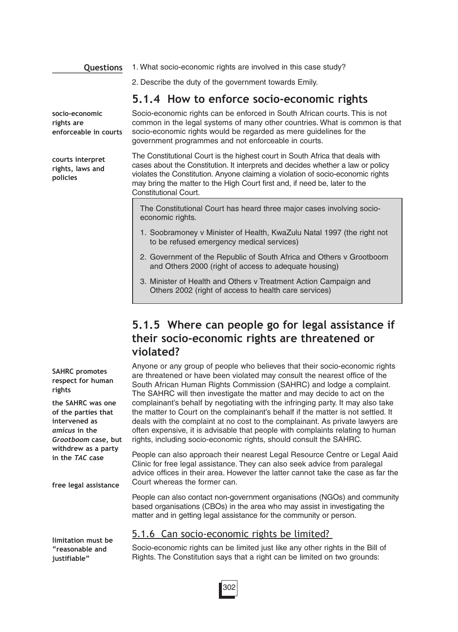**Questions**

**socio-economic rights are**

**courts interpret rights, laws and**

**policies**

1. What socio-economic rights are involved in this case study?

2. Describe the duty of the government towards Emily.

### **5.1.4 How to enforce socio-economic rights**

Socio-economic rights can be enforced in South African courts. This is not common in the legal systems of many other countries. What is common is that socio-economic rights would be regarded as mere guidelines for the government programmes and not enforceable in courts. **enforceable in courts**

> The Constitutional Court is the highest court in South Africa that deals with cases about the Constitution. It interprets and decides whether a law or policy violates the Constitution. Anyone claiming a violation of socio-economic rights may bring the matter to the High Court first and, if need be, later to the Constitutional Court.

The Constitutional Court has heard three major cases involving socioeconomic rights.

- 1. Soobramoney v Minister of Health, KwaZulu Natal 1997 (the right not to be refused emergency medical services)
- 2. Government of the Republic of South Africa and Others v Grootboom and Others 2000 (right of access to adequate housing)
- 3. Minister of Health and Others v Treatment Action Campaign and Others 2002 (right of access to health care services)

# **5.1.5 Where can people go for legal assistance if their socio-economic rights are threatened or violated?**

Anyone or any group of people who believes that their socio-economic rights are threatened or have been violated may consult the nearest office of the South African Human Rights Commission (SAHRC) and lodge a complaint. The SAHRC will then investigate the matter and may decide to act on the complainant's behalf by negotiating with the infringing party. It may also take the matter to Court on the complainant's behalf if the matter is not settled. It deals with the complaint at no cost to the complainant. As private lawyers are often expensive, it is advisable that people with complaints relating to human rights, including socio-economic rights, should consult the SAHRC.

People can also approach their nearest Legal Resource Centre or Legal Aaid Clinic for free legal assistance. They can also seek advice from paralegal advice offices in their area. However the latter cannot take the case as far the Court whereas the former can.

People can also contact non-government organisations (NGOs) and community based organisations (CBOs) in the area who may assist in investigating the matter and in getting legal assistance for the community or person.

### 5.1.6 Can socio-economic rights be limited?

Socio-economic rights can be limited just like any other rights in the Bill of Rights. The Constitution says that a right can be limited on two grounds:

**SAHRC promotes respect for human rights**

**the SAHRC was one of the parties that intervened as** *amicus* **in the** *Grootboom* **case, but withdrew as a party in the** *TAC* **case**

**free legal assistance**

**limitation must be "reasonable and justifiable"**

302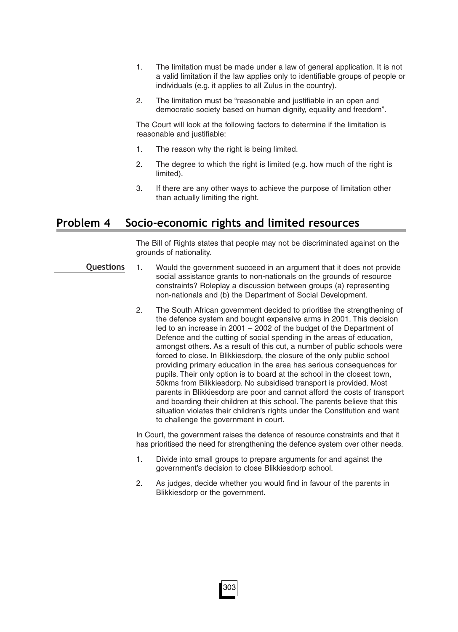- 1. The limitation must be made under a law of general application. It is not a valid limitation if the law applies only to identifiable groups of people or individuals (e.g. it applies to all Zulus in the country).
- 2. The limitation must be "reasonable and justifiable in an open and democratic society based on human dignity, equality and freedom".

The Court will look at the following factors to determine if the limitation is reasonable and justifiable:

- 1. The reason why the right is being limited.
- 2. The degree to which the right is limited (e.g. how much of the right is limited).
- 3. If there are any other ways to achieve the purpose of limitation other than actually limiting the right.

### **Problem 4 Socio-economic rights and limited resources**

The Bill of Rights states that people may not be discriminated against on the grounds of nationality.

- 1. Would the government succeed in an argument that it does not provide social assistance grants to non-nationals on the grounds of resource constraints? Roleplay a discussion between groups (a) representing non-nationals and (b) the Department of Social Development. **Questions**
	- 2. The South African government decided to prioritise the strengthening of the defence system and bought expensive arms in 2001. This decision led to an increase in 2001 – 2002 of the budget of the Department of Defence and the cutting of social spending in the areas of education, amongst others. As a result of this cut, a number of public schools were forced to close. In Blikkiesdorp, the closure of the only public school providing primary education in the area has serious consequences for pupils. Their only option is to board at the school in the closest town, 50kms from Blikkiesdorp. No subsidised transport is provided. Most parents in Blikkiesdorp are poor and cannot afford the costs of transport and boarding their children at this school. The parents believe that this situation violates their children's rights under the Constitution and want to challenge the government in court.

In Court, the government raises the defence of resource constraints and that it has prioritised the need for strengthening the defence system over other needs.

- 1. Divide into small groups to prepare arguments for and against the government's decision to close Blikkiesdorp school.
- 2. As judges, decide whether you would find in favour of the parents in Blikkiesdorp or the government.

303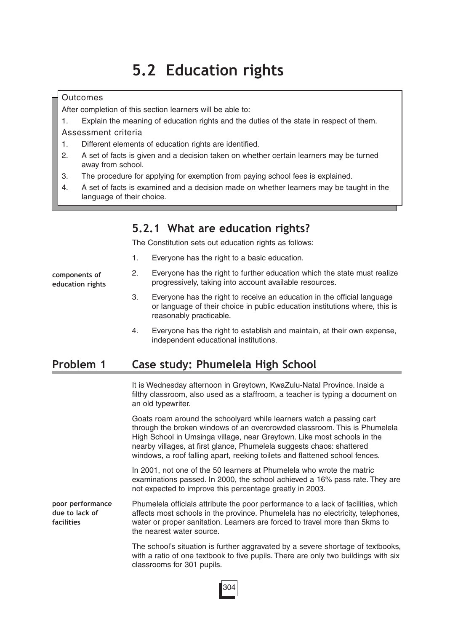# **5.2 Education rights**

#### **Outcomes**

After completion of this section learners will be able to:

1. Explain the meaning of education rights and the duties of the state in respect of them.

Assessment criteria

- 1. Different elements of education rights are identified.
- 2. A set of facts is given and a decision taken on whether certain learners may be turned away from school.
- 3. The procedure for applying for exemption from paying school fees is explained.
- 4. A set of facts is examined and a decision made on whether learners may be taught in the language of their choice.

### **5.2.1 What are education rights?**

The Constitution sets out education rights as follows:

1. Everyone has the right to a basic education.

**components of education rights**

- 2. Everyone has the right to further education which the state must realize progressively, taking into account available resources.
- 3. Everyone has the right to receive an education in the official language or language of their choice in public education institutions where, this is reasonably practicable.
- 4. Everyone has the right to establish and maintain, at their own expense, independent educational institutions.

### **Problem 1 Case study: Phumelela High School**

It is Wednesday afternoon in Greytown, KwaZulu-Natal Province. Inside a filthy classroom, also used as a staffroom, a teacher is typing a document on an old typewriter.

Goats roam around the schoolyard while learners watch a passing cart through the broken windows of an overcrowded classroom. This is Phumelela High School in Umsinga village, near Greytown. Like most schools in the nearby villages, at first glance, Phumelela suggests chaos: shattered windows, a roof falling apart, reeking toilets and flattened school fences.

In 2001, not one of the 50 learners at Phumelela who wrote the matric examinations passed. In 2000, the school achieved a 16% pass rate. They are not expected to improve this percentage greatly in 2003.

Phumelela officials attribute the poor performance to a lack of facilities, which affects most schools in the province. Phumelela has no electricity, telephones, water or proper sanitation. Learners are forced to travel more than 5kms to the nearest water source. **poor performance due to lack of facilities**

> The school's situation is further aggravated by a severe shortage of textbooks, with a ratio of one textbook to five pupils. There are only two buildings with six classrooms for 301 pupils.

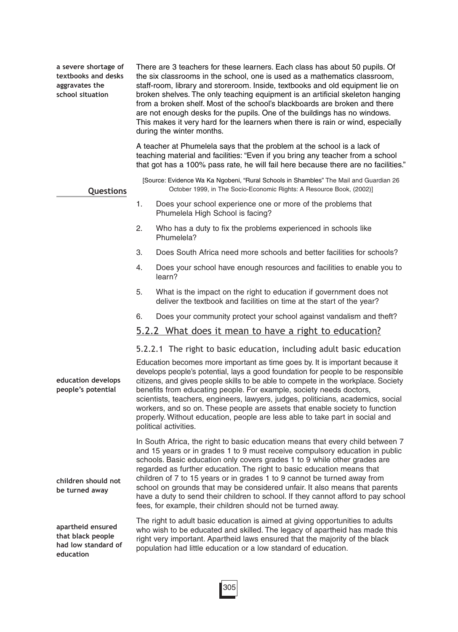**a severe shortage of textbooks and desks aggravates the school situation**

There are 3 teachers for these learners. Each class has about 50 pupils. Of the six classrooms in the school, one is used as a mathematics classroom, staff-room, library and storeroom. Inside, textbooks and old equipment lie on broken shelves. The only teaching equipment is an artificial skeleton hanging from a broken shelf. Most of the school's blackboards are broken and there are not enough desks for the pupils. One of the buildings has no windows. This makes it very hard for the learners when there is rain or wind, especially during the winter months.

A teacher at Phumelela says that the problem at the school is a lack of teaching material and facilities: "Even if you bring any teacher from a school that got has a 100% pass rate, he will fail here because there are no facilities."

[Source: Evidence Wa Ka Ngobeni, "Rural Schools in Shambles" The Mail and Guardian 26 October 1999, in The Socio-Economic Rights: A Resource Book, (2002)]

#### **Questions**

**education**

- 1. Does your school experience one or more of the problems that Phumelela High School is facing?
- 2. Who has a duty to fix the problems experienced in schools like Phumelela?
- 3. Does South Africa need more schools and better facilities for schools?
- 4. Does your school have enough resources and facilities to enable you to learn?
- 5. What is the impact on the right to education if government does not deliver the textbook and facilities on time at the start of the year?
- 6. Does your community protect your school against vandalism and theft?

#### 5.2.2 What does it mean to have a right to education?

#### 5.2.2.1 The right to basic education, including adult basic education

**education develops people's potential children should not be turned away apartheid ensured that black people had low standard of** Education becomes more important as time goes by. It is important because it develops people's potential, lays a good foundation for people to be responsible citizens, and gives people skills to be able to compete in the workplace. Society benefits from educating people. For example, society needs doctors, scientists, teachers, engineers, lawyers, judges, politicians, academics, social workers, and so on. These people are assets that enable society to function properly. Without education, people are less able to take part in social and political activities. In South Africa, the right to basic education means that every child between 7 and 15 years or in grades 1 to 9 must receive compulsory education in public schools. Basic education only covers grades 1 to 9 while other grades are regarded as further education. The right to basic education means that children of 7 to 15 years or in grades 1 to 9 cannot be turned away from school on grounds that may be considered unfair. It also means that parents have a duty to send their children to school. If they cannot afford to pay school fees, for example, their children should not be turned away. The right to adult basic education is aimed at giving opportunities to adults who wish to be educated and skilled. The legacy of apartheid has made this right very important. Apartheid laws ensured that the majority of the black population had little education or a low standard of education.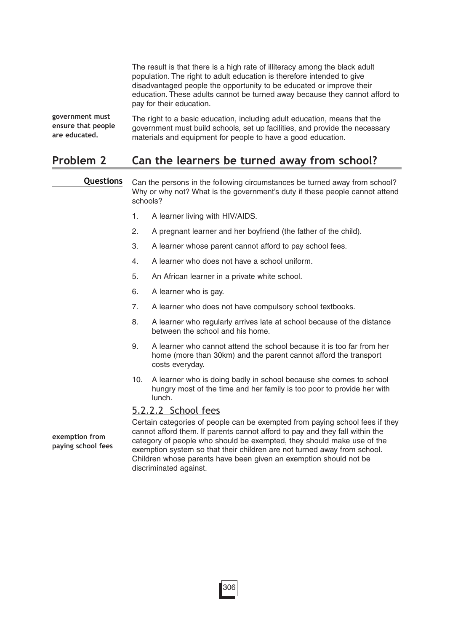The result is that there is a high rate of illiteracy among the black adult population. The right to adult education is therefore intended to give disadvantaged people the opportunity to be educated or improve their education. These adults cannot be turned away because they cannot afford to pay for their education.

The right to a basic education, including adult education, means that the government must build schools, set up facilities, and provide the necessary materials and equipment for people to have a good education. **government must ensure that people are educated.**

### **Problem 2 Can the learners be turned away from school?**

Can the persons in the following circumstances be turned away from school? Why or why not? What is the government's duty if these people cannot attend schools? **Questions**

- 1. A learner living with HIV/AIDS.
- 2. A pregnant learner and her boyfriend (the father of the child).
- 3. A learner whose parent cannot afford to pay school fees.
- 4. A learner who does not have a school uniform.
- 5. An African learner in a private white school.
- 6. A learner who is gay.
- 7. A learner who does not have compulsory school textbooks.
- 8. A learner who regularly arrives late at school because of the distance between the school and his home.
- 9. A learner who cannot attend the school because it is too far from her home (more than 30km) and the parent cannot afford the transport costs everyday.
- 10. A learner who is doing badly in school because she comes to school hungry most of the time and her family is too poor to provide her with lunch.

#### 5.2.2.2 School fees

**exemption from paying school fees** Certain categories of people can be exempted from paying school fees if they cannot afford them. If parents cannot afford to pay and they fall within the category of people who should be exempted, they should make use of the exemption system so that their children are not turned away from school. Children whose parents have been given an exemption should not be discriminated against.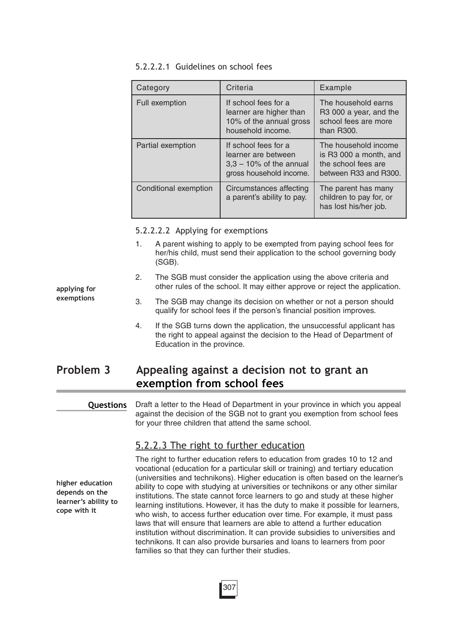#### 5.2.2.2.1 Guidelines on school fees

| Category              | Criteria                                                                                             | Example                                                                                                      |
|-----------------------|------------------------------------------------------------------------------------------------------|--------------------------------------------------------------------------------------------------------------|
| <b>Full exemption</b> | If school fees for a<br>learner are higher than<br>10% of the annual gross<br>household income.      | The household earns<br>R <sub>3</sub> 000 a year, and the<br>school fees are more<br>than R <sub>300</sub> . |
| Partial exemption     | If school fees for a<br>learner are between<br>$3,3 - 10\%$ of the annual<br>gross household income. | The household income<br>is R3 000 a month, and<br>the school fees are<br>between R33 and R300.               |
| Conditional exemption | Circumstances affecting<br>a parent's ability to pay.                                                | The parent has many<br>children to pay for, or<br>has lost his/her job.                                      |

5.2.2.2.2 Applying for exemptions

- 1. A parent wishing to apply to be exempted from paying school fees for her/his child, must send their application to the school governing body (SGB).
- 2. The SGB must consider the application using the above criteria and other rules of the school. It may either approve or reject the application.
- 3. The SGB may change its decision on whether or not a person should qualify for school fees if the person's financial position improves.
- 4. If the SGB turns down the application, the unsuccessful applicant has the right to appeal against the decision to the Head of Department of Education in the province.

# **Problem 3 Appealing against a decision not to grant an exemption from school fees**

#### **Questions**

Draft a letter to the Head of Department in your province in which you appeal against the decision of the SGB not to grant you exemption from school fees for your three children that attend the same school.

### 5.2.2.3 The right to further education

**higher education depends on the learner's ability to cope with it**

The right to further education refers to education from grades 10 to 12 and vocational (education for a particular skill or training) and tertiary education (universities and technikons). Higher education is often based on the learner's ability to cope with studying at universities or technikons or any other similar institutions. The state cannot force learners to go and study at these higher learning institutions. However, it has the duty to make it possible for learners, who wish, to access further education over time. For example, it must pass laws that will ensure that learners are able to attend a further education institution without discrimination. It can provide subsidies to universities and technikons. It can also provide bursaries and loans to learners from poor families so that they can further their studies.

**applying for exemptions**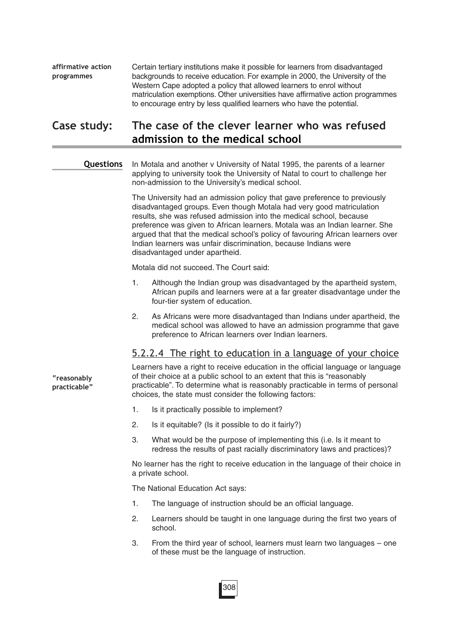Certain tertiary institutions make it possible for learners from disadvantaged backgrounds to receive education. For example in 2000, the University of the Western Cape adopted a policy that allowed learners to enrol without matriculation exemptions. Other universities have affirmative action programmes to encourage entry by less qualified learners who have the potential. **affirmative action programmes**

### **Case study: The case of the clever learner who was refused admission to the medical school**

#### **Questions**

In Motala and another v University of Natal 1995, the parents of a learner applying to university took the University of Natal to court to challenge her non-admission to the University's medical school.

The University had an admission policy that gave preference to previously disadvantaged groups. Even though Motala had very good matriculation results, she was refused admission into the medical school, because preference was given to African learners. Motala was an Indian learner. She argued that that the medical school's policy of favouring African learners over Indian learners was unfair discrimination, because Indians were disadvantaged under apartheid.

Motala did not succeed. The Court said:

- 1. Although the Indian group was disadvantaged by the apartheid system, African pupils and learners were at a far greater disadvantage under the four-tier system of education.
- 2. As Africans were more disadvantaged than Indians under apartheid, the medical school was allowed to have an admission programme that gave preference to African learners over Indian learners.

### 5.2.2.4 The right to education in a language of your choice

**"reasonably practicable"** Learners have a right to receive education in the official language or language of their choice at a public school to an extent that this is "reasonably practicable". To determine what is reasonably practicable in terms of personal choices, the state must consider the following factors:

- 1. Is it practically possible to implement?
- 2. Is it equitable? (Is it possible to do it fairly?)
- 3. What would be the purpose of implementing this (i.e. Is it meant to redress the results of past racially discriminatory laws and practices)?

No learner has the right to receive education in the language of their choice in a private school.

The National Education Act says:

1. The language of instruction should be an official language.

308

- 2. Learners should be taught in one language during the first two years of school.
- 3. From the third year of school, learners must learn two languages one of these must be the language of instruction.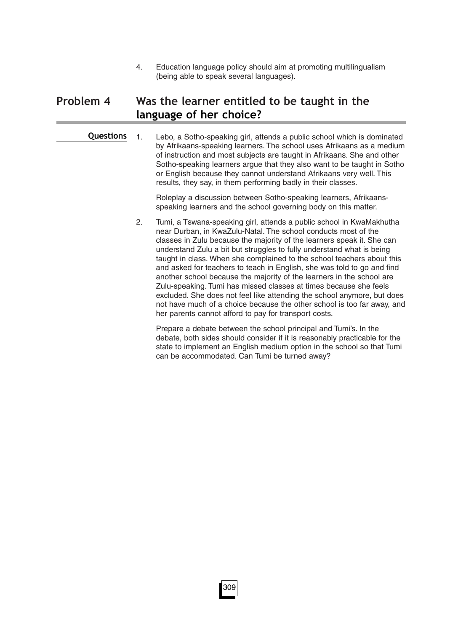4. Education language policy should aim at promoting multilingualism (being able to speak several languages).

# **Problem 4 Was the learner entitled to be taught in the language of her choice?**

1. Lebo, a Sotho-speaking girl, attends a public school which is dominated by Afrikaans-speaking learners. The school uses Afrikaans as a medium of instruction and most subjects are taught in Afrikaans. She and other Sotho-speaking learners argue that they also want to be taught in Sotho or English because they cannot understand Afrikaans very well. This results, they say, in them performing badly in their classes. **Questions**

> Roleplay a discussion between Sotho-speaking learners, Afrikaansspeaking learners and the school governing body on this matter.

2. Tumi, a Tswana-speaking girl, attends a public school in KwaMakhutha near Durban, in KwaZulu-Natal. The school conducts most of the classes in Zulu because the majority of the learners speak it. She can understand Zulu a bit but struggles to fully understand what is being taught in class. When she complained to the school teachers about this and asked for teachers to teach in English, she was told to go and find another school because the majority of the learners in the school are Zulu-speaking. Tumi has missed classes at times because she feels excluded. She does not feel like attending the school anymore, but does not have much of a choice because the other school is too far away, and her parents cannot afford to pay for transport costs.

Prepare a debate between the school principal and Tumi's. In the debate, both sides should consider if it is reasonably practicable for the state to implement an English medium option in the school so that Tumi can be accommodated. Can Tumi be turned away?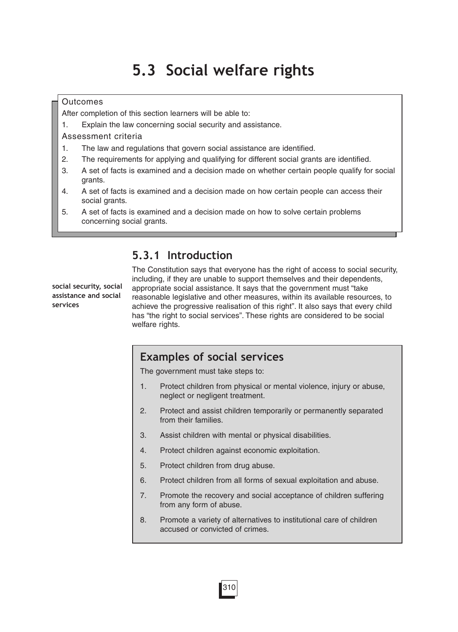# **5.3 Social welfare rights**

#### **Outcomes**

After completion of this section learners will be able to:

1. Explain the law concerning social security and assistance.

Assessment criteria

- 1. The law and regulations that govern social assistance are identified.
- 2. The requirements for applying and qualifying for different social grants are identified.
- 3. A set of facts is examined and a decision made on whether certain people qualify for social grants.
- 4. A set of facts is examined and a decision made on how certain people can access their social grants.
- 5. A set of facts is examined and a decision made on how to solve certain problems concerning social grants.

# **5.3.1 Introduction**

**social security, social assistance and social services**

The Constitution says that everyone has the right of access to social security, including, if they are unable to support themselves and their dependents, appropriate social assistance. It says that the government must "take reasonable legislative and other measures, within its available resources, to achieve the progressive realisation of this right". It also says that every child has "the right to social services". These rights are considered to be social welfare rights.

### **Examples of social services**

The government must take steps to:

- 1. Protect children from physical or mental violence, injury or abuse, neglect or negligent treatment.
- 2. Protect and assist children temporarily or permanently separated from their families.
- 3. Assist children with mental or physical disabilities.
- 4. Protect children against economic exploitation.

310

- 5. Protect children from drug abuse.
- 6. Protect children from all forms of sexual exploitation and abuse.
- 7. Promote the recovery and social acceptance of children suffering from any form of abuse.
- 8. Promote a variety of alternatives to institutional care of children accused or convicted of crimes.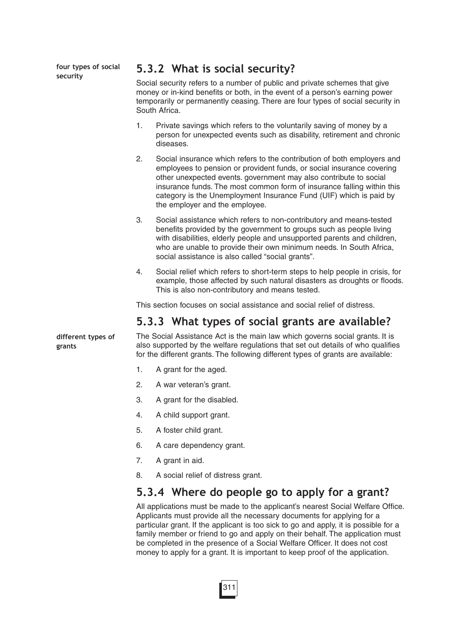**four types of social security** 

### **5.3.2 What is social security?**

Social security refers to a number of public and private schemes that give money or in-kind benefits or both, in the event of a person's earning power temporarily or permanently ceasing. There are four types of social security in South Africa.

- 1. Private savings which refers to the voluntarily saving of money by a person for unexpected events such as disability, retirement and chronic diseases.
- 2. Social insurance which refers to the contribution of both employers and employees to pension or provident funds, or social insurance covering other unexpected events. government may also contribute to social insurance funds. The most common form of insurance falling within this category is the Unemployment Insurance Fund (UIF) which is paid by the employer and the employee.
- 3. Social assistance which refers to non-contributory and means-tested benefits provided by the government to groups such as people living with disabilities, elderly people and unsupported parents and children, who are unable to provide their own minimum needs. In South Africa, social assistance is also called "social grants".
- 4. Social relief which refers to short-term steps to help people in crisis, for example, those affected by such natural disasters as droughts or floods. This is also non-contributory and means tested.

This section focuses on social assistance and social relief of distress.

### **5.3.3 What types of social grants are available?**

**different types of grants**

The Social Assistance Act is the main law which governs social grants. It is also supported by the welfare regulations that set out details of who qualifies for the different grants. The following different types of grants are available:

- 1. A grant for the aged.
- 2. A war veteran's grant.
- 3. A grant for the disabled.
- 4. A child support grant.
- 5. A foster child grant.
- 6. A care dependency grant.
- 7. A grant in aid.
- 8. A social relief of distress grant.

### **5.3.4 Where do people go to apply for a grant?**

All applications must be made to the applicant's nearest Social Welfare Office. Applicants must provide all the necessary documents for applying for a particular grant. If the applicant is too sick to go and apply, it is possible for a family member or friend to go and apply on their behalf. The application must be completed in the presence of a Social Welfare Officer. It does not cost money to apply for a grant. It is important to keep proof of the application.

311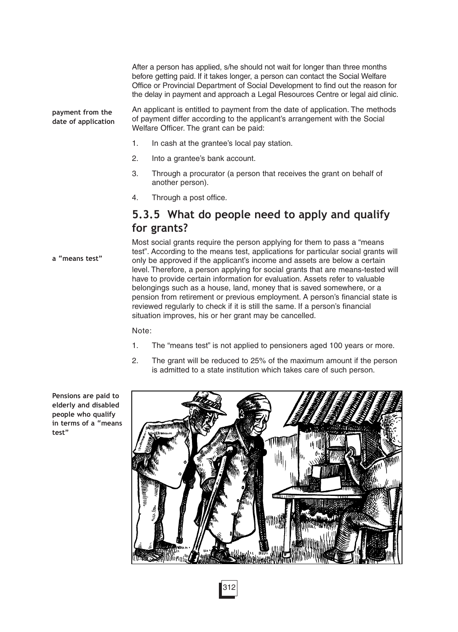After a person has applied, s/he should not wait for longer than three months before getting paid. If it takes longer, a person can contact the Social Welfare Office or Provincial Department of Social Development to find out the reason for the delay in payment and approach a Legal Resources Centre or legal aid clinic.

An applicant is entitled to payment from the date of application. The methods of payment differ according to the applicant's arrangement with the Social Welfare Officer. The grant can be paid: **payment from the date of application**

- 1. In cash at the grantee's local pay station.
- 2. Into a grantee's bank account.
- 3. Through a procurator (a person that receives the grant on behalf of another person).
- 4. Through a post office.

### **5.3.5 What do people need to apply and qualify for grants?**

Most social grants require the person applying for them to pass a "means test". According to the means test, applications for particular social grants will only be approved if the applicant's income and assets are below a certain level. Therefore, a person applying for social grants that are means-tested will have to provide certain information for evaluation. Assets refer to valuable belongings such as a house, land, money that is saved somewhere, or a pension from retirement or previous employment. A person's financial state is reviewed regularly to check if it is still the same. If a person's financial situation improves, his or her grant may be cancelled.

Note:

- 1. The "means test" is not applied to pensioners aged 100 years or more.
- 2. The grant will be reduced to 25% of the maximum amount if the person is admitted to a state institution which takes care of such person.

**Pensions are paid to elderly and disabled people who qualify in terms of a "means test"**

**a "means test"**

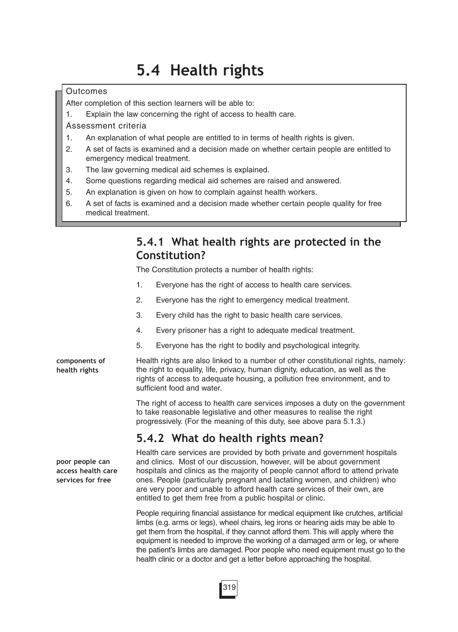# **5.4 Health rights**

### **Outcomes**

- After completion of this section learners will be able to:
- 1. Explain the law concerning the right of access to health care.
- Assessment criteria
- 1. An explanation of what people are entitled to in terms of health rights is given.
- 2. A set of facts is examined and a decision made on whether certain people are entitled to emergency medical treatment.
- 3. The law governing medical aid schemes is explained.
- 4. Some questions regarding medical aid schemes are raised and answered.
- 5. An explanation is given on how to complain against health workers.
- 6. A set of facts is examined and a decision made whether certain people quality for free medical treatment.

# **5.4.1 What health rights are protected in the Constitution?**

The Constitution protects a number of health rights:

- 1. Everyone has the right of access to health care services.
- 2. Everyone has the right to emergency medical treatment.
- 3. Every child has the right to basic health care services.
- 4. Every prisoner has a right to adequate medical treatment.
- 5. Everyone has the right to bodily and psychological integrity.

Health rights are also linked to a number of other constitutional rights, namely: the right to equality, life, privacy, human dignity, education, as well as the rights of access to adequate housing, a pollution free environment, and to sufficient food and water.

The right of access to health care services imposes a duty on the government to take reasonable legislative and other measures to realise the right progressively. (For the meaning of this duty, see above para 5.1.3.)

# **5.4.2 What do health rights mean?**

Health care services are provided by both private and government hospitals and clinics. Most of our discussion, however, will be about government hospitals and clinics as the majority of people cannot afford to attend private ones. People (particularly pregnant and lactating women, and children) who are very poor and unable to afford health care services of their own, are entitled to get them free from a public hospital or clinic.

People requiring financial assistance for medical equipment like crutches, artificial limbs (e.g. arms or legs), wheel chairs, leg irons or hearing aids may be able to get them from the hospital, if they cannot afford them. This will apply where the equipment is needed to improve the working of a damaged arm or leg, or where the patient's limbs are damaged. Poor people who need equipment must go to the health clinic or a doctor and get a letter before approaching the hospital.

**poor people can access health care services for free**

**components of health rights**

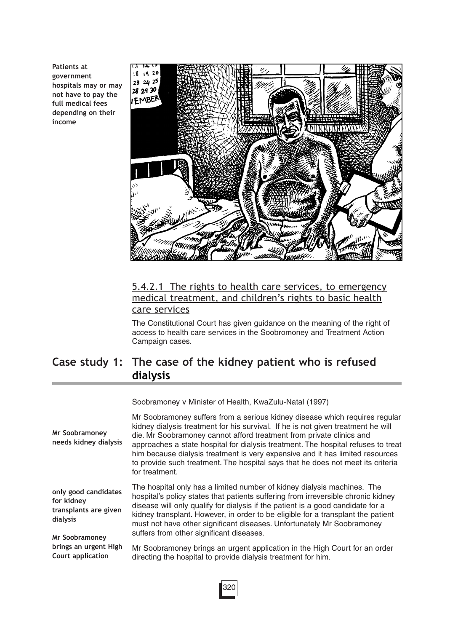**Patients at government hospitals may or may not have to pay the full medical fees depending on their income**



### 5.4.2.1 The rights to health care services, to emergency medical treatment, and children's rights to basic health care services

The Constitutional Court has given guidance on the meaning of the right of access to health care services in the Soobromoney and Treatment Action Campaign cases.

# **Case study 1: The case of the kidney patient who is refused dialysis**

Soobramoney v Minister of Health, KwaZulu-Natal (1997)

| Mr Soobramoney<br>needs kidney dialysis                                 | Mr Soobramoney suffers from a serious kidney disease which requires regular<br>kidney dialysis treatment for his survival. If he is not given treatment he will<br>die. Mr Soobramoney cannot afford treatment from private clinics and<br>approaches a state hospital for dialysis treatment. The hospital refuses to treat<br>him because dialysis treatment is very expensive and it has limited resources<br>to provide such treatment. The hospital says that he does not meet its criteria<br>for treatment. |
|-------------------------------------------------------------------------|--------------------------------------------------------------------------------------------------------------------------------------------------------------------------------------------------------------------------------------------------------------------------------------------------------------------------------------------------------------------------------------------------------------------------------------------------------------------------------------------------------------------|
| only good candidates<br>for kidney<br>transplants are given<br>dialysis | The hospital only has a limited number of kidney dialysis machines. The<br>hospital's policy states that patients suffering from irreversible chronic kidney<br>disease will only qualify for dialysis if the patient is a good candidate for a<br>kidney transplant. However, in order to be eligible for a transplant the patient<br>must not have other significant diseases. Unfortunately Mr Soobramoney                                                                                                      |
| Mr Soobramoney                                                          | suffers from other significant diseases.                                                                                                                                                                                                                                                                                                                                                                                                                                                                           |
| brings an urgent High<br>Court application                              | Mr Soobramoney brings an urgent application in the High Court for an order<br>directing the hospital to provide dialysis treatment for him.                                                                                                                                                                                                                                                                                                                                                                        |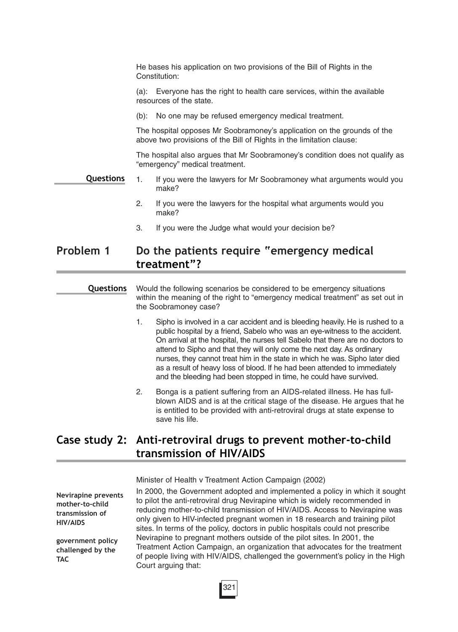He bases his application on two provisions of the Bill of Rights in the Constitution:

(a): Everyone has the right to health care services, within the available resources of the state.

(b): No one may be refused emergency medical treatment.

The hospital opposes Mr Soobramoney's application on the grounds of the above two provisions of the Bill of Rights in the limitation clause:

The hospital also argues that Mr Soobramoney's condition does not qualify as "emergency" medical treatment.

- 1. If you were the lawyers for Mr Soobramoney what arguments would you make? **Questions**
	- 2. If you were the lawyers for the hospital what arguments would you make?
	- 3. If you were the Judge what would your decision be?

### **Problem 1 Do the patients require "emergency medical treatment"?**

**Questions**

Would the following scenarios be considered to be emergency situations within the meaning of the right to "emergency medical treatment" as set out in the Soobramoney case?

- 1. Sipho is involved in a car accident and is bleeding heavily. He is rushed to a public hospital by a friend, Sabelo who was an eye-witness to the accident. On arrival at the hospital, the nurses tell Sabelo that there are no doctors to attend to Sipho and that they will only come the next day. As ordinary nurses, they cannot treat him in the state in which he was. Sipho later died as a result of heavy loss of blood. If he had been attended to immediately and the bleeding had been stopped in time, he could have survived.
- 2. Bonga is a patient suffering from an AIDS-related illness. He has fullblown AIDS and is at the critical stage of the disease. He argues that he is entitled to be provided with anti-retroviral drugs at state expense to save his life.

### **Case study 2: Anti-retroviral drugs to prevent mother-to-child transmission of HIV/AIDS**

Minister of Health v Treatment Action Campaign (2002)

**Nevirapine prevents mother-to-child transmission of HIV/AIDS**

**government policy challenged by the TAC**

In 2000, the Government adopted and implemented a policy in which it sought to pilot the anti-retroviral drug Nevirapine which is widely recommended in reducing mother-to-child transmission of HIV/AIDS. Access to Nevirapine was only given to HIV-infected pregnant women in 18 research and training pilot sites. In terms of the policy, doctors in public hospitals could not prescribe Nevirapine to pregnant mothers outside of the pilot sites. In 2001, the Treatment Action Campaign, an organization that advocates for the treatment of people living with HIV/AIDS, challenged the government's policy in the High Court arguing that:

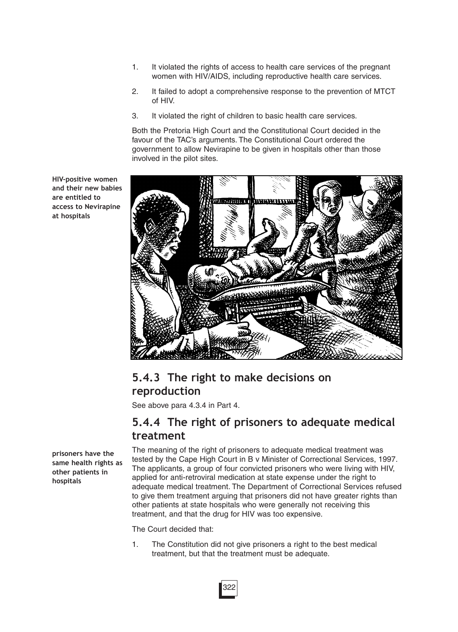- 1. It violated the rights of access to health care services of the pregnant women with HIV/AIDS, including reproductive health care services.
- 2. It failed to adopt a comprehensive response to the prevention of MTCT of HIV.
- 3. It violated the right of children to basic health care services.

Both the Pretoria High Court and the Constitutional Court decided in the favour of the TAC's arguments. The Constitutional Court ordered the government to allow Nevirapine to be given in hospitals other than those involved in the pilot sites.

**HIV-positive women and their new babies are entitled to access to Nevirapine at hospitals** 



# **5.4.3 The right to make decisions on reproduction**

See above para 4.3.4 in Part 4.

### **5.4.4 The right of prisoners to adequate medical treatment**

**prisoners have the same health rights as other patients in hospitals**

The meaning of the right of prisoners to adequate medical treatment was tested by the Cape High Court in B v Minister of Correctional Services, 1997. The applicants, a group of four convicted prisoners who were living with HIV, applied for anti-retroviral medication at state expense under the right to adequate medical treatment. The Department of Correctional Services refused to give them treatment arguing that prisoners did not have greater rights than other patients at state hospitals who were generally not receiving this treatment, and that the drug for HIV was too expensive.

The Court decided that:

1. The Constitution did not give prisoners a right to the best medical treatment, but that the treatment must be adequate.

322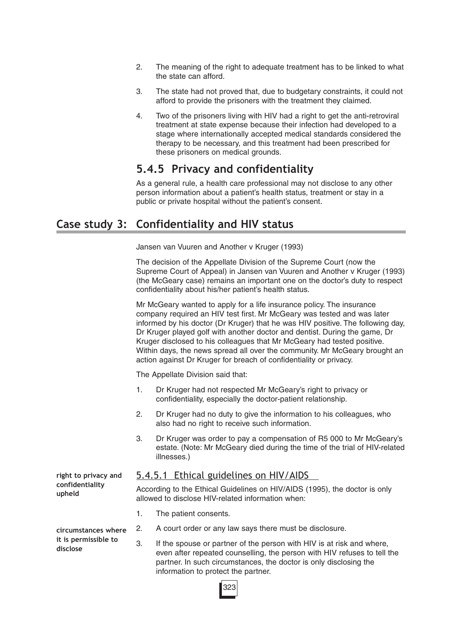- 2. The meaning of the right to adequate treatment has to be linked to what the state can afford.
- 3. The state had not proved that, due to budgetary constraints, it could not afford to provide the prisoners with the treatment they claimed.
- 4. Two of the prisoners living with HIV had a right to get the anti-retroviral treatment at state expense because their infection had developed to a stage where internationally accepted medical standards considered the therapy to be necessary, and this treatment had been prescribed for these prisoners on medical grounds.

### **5.4.5 Privacy and confidentiality**

As a general rule, a health care professional may not disclose to any other person information about a patient's health status, treatment or stay in a public or private hospital without the patient's consent.

# **Case study 3: Confidentiality and HIV status**

Jansen van Vuuren and Another v Kruger (1993)

The decision of the Appellate Division of the Supreme Court (now the Supreme Court of Appeal) in Jansen van Vuuren and Another v Kruger (1993) (the McGeary case) remains an important one on the doctor's duty to respect confidentiality about his/her patient's health status.

Mr McGeary wanted to apply for a life insurance policy. The insurance company required an HIV test first. Mr McGeary was tested and was later informed by his doctor (Dr Kruger) that he was HIV positive. The following day, Dr Kruger played golf with another doctor and dentist. During the game, Dr Kruger disclosed to his colleagues that Mr McGeary had tested positive. Within days, the news spread all over the community. Mr McGeary brought an action against Dr Kruger for breach of confidentiality or privacy.

The Appellate Division said that:

- 1. Dr Kruger had not respected Mr McGeary's right to privacy or confidentiality, especially the doctor-patient relationship.
- 2. Dr Kruger had no duty to give the information to his colleagues, who also had no right to receive such information.
- 3. Dr Kruger was order to pay a compensation of R5 000 to Mr McGeary's estate. (Note: Mr McGeary died during the time of the trial of HIV-related illnesses.)

### 5.4.5.1 Ethical guidelines on HIV/AIDS

According to the Ethical Guidelines on HIV/AIDS (1995), the doctor is only allowed to disclose HIV-related information when:

- 1. The patient consents.
- **circumstances where it is permissible to disclose**

**right to privacy and confidentiality**

**upheld**

- 2. A court order or any law says there must be disclosure.
- 3. If the spouse or partner of the person with HIV is at risk and where, even after repeated counselling, the person with HIV refuses to tell the partner. In such circumstances, the doctor is only disclosing the information to protect the partner.

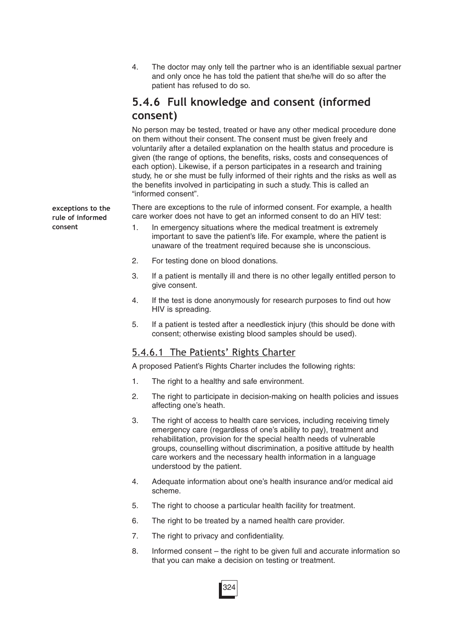4. The doctor may only tell the partner who is an identifiable sexual partner and only once he has told the patient that she/he will do so after the patient has refused to do so.

### **5.4.6 Full knowledge and consent (informed consent)**

No person may be tested, treated or have any other medical procedure done on them without their consent. The consent must be given freely and voluntarily after a detailed explanation on the health status and procedure is given (the range of options, the benefits, risks, costs and consequences of each option). Likewise, if a person participates in a research and training study, he or she must be fully informed of their rights and the risks as well as the benefits involved in participating in such a study. This is called an "informed consent".

There are exceptions to the rule of informed consent. For example, a health care worker does not have to get an informed consent to do an HIV test:

- 1. In emergency situations where the medical treatment is extremely important to save the patient's life. For example, where the patient is unaware of the treatment required because she is unconscious.
- 2. For testing done on blood donations.
- 3. If a patient is mentally ill and there is no other legally entitled person to give consent.
- 4. If the test is done anonymously for research purposes to find out how HIV is spreading.
- 5. If a patient is tested after a needlestick injury (this should be done with consent; otherwise existing blood samples should be used).

### 5.4.6.1 The Patients' Rights Charter

A proposed Patient's Rights Charter includes the following rights:

- 1. The right to a healthy and safe environment.
- 2. The right to participate in decision-making on health policies and issues affecting one's heath.
- 3. The right of access to health care services, including receiving timely emergency care (regardless of one's ability to pay), treatment and rehabilitation, provision for the special health needs of vulnerable groups, counselling without discrimination, a positive attitude by health care workers and the necessary health information in a language understood by the patient.
- 4. Adequate information about one's health insurance and/or medical aid scheme.
- 5. The right to choose a particular health facility for treatment.
- 6. The right to be treated by a named health care provider.
- 7. The right to privacy and confidentiality.
- 8. Informed consent the right to be given full and accurate information so that you can make a decision on testing or treatment.

**exceptions to the rule of informed consent**

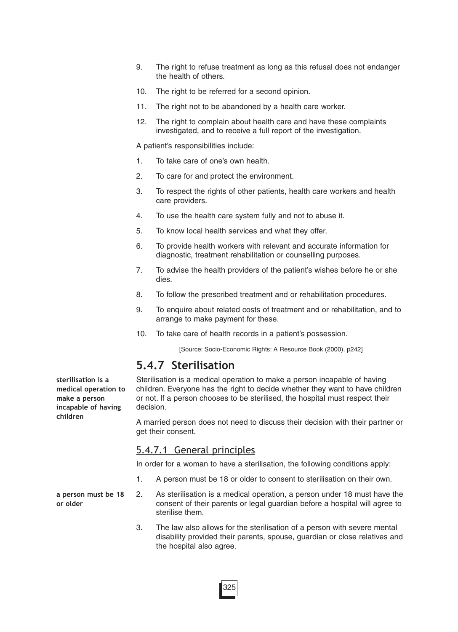- 9. The right to refuse treatment as long as this refusal does not endanger the health of others.
- 10. The right to be referred for a second opinion.
- 11. The right not to be abandoned by a health care worker.
- 12. The right to complain about health care and have these complaints investigated, and to receive a full report of the investigation.

A patient's responsibilities include:

- 1. To take care of one's own health.
- 2. To care for and protect the environment.
- 3. To respect the rights of other patients, health care workers and health care providers.
- 4. To use the health care system fully and not to abuse it.
- 5. To know local health services and what they offer.
- 6. To provide health workers with relevant and accurate information for diagnostic, treatment rehabilitation or counselling purposes.
- 7. To advise the health providers of the patient's wishes before he or she dies.
- 8. To follow the prescribed treatment and or rehabilitation procedures.
- 9. To enquire about related costs of treatment and or rehabilitation, and to arrange to make payment for these.
- 10. To take care of health records in a patient's possession.

[Source: Socio-Economic Rights: A Resource Book (2000), p242]

### **5.4.7 Sterilisation**

Sterilisation is a medical operation to make a person incapable of having children. Everyone has the right to decide whether they want to have children or not. If a person chooses to be sterilised, the hospital must respect their decision.

A married person does not need to discuss their decision with their partner or get their consent.

#### 5.4.7.1 General principles

In order for a woman to have a sterilisation, the following conditions apply:

- 1. A person must be 18 or older to consent to sterilisation on their own.
- 2. As sterilisation is a medical operation, a person under 18 must have the consent of their parents or legal guardian before a hospital will agree to sterilise them.
	- 3. The law also allows for the sterilisation of a person with severe mental disability provided their parents, spouse, guardian or close relatives and the hospital also agree.

**sterilisation is a medical operation to make a person incapable of having children**

**a person must be 18 or older**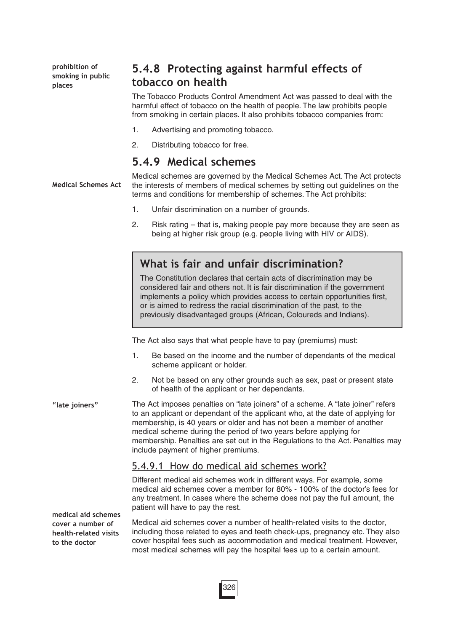**prohibition of smoking in public places**

# **5.4.8 Protecting against harmful effects of tobacco on health**

The Tobacco Products Control Amendment Act was passed to deal with the harmful effect of tobacco on the health of people. The law prohibits people from smoking in certain places. It also prohibits tobacco companies from:

- 1. Advertising and promoting tobacco.
- 2. Distributing tobacco for free.

### **5.4.9 Medical schemes**

Medical schemes are governed by the Medical Schemes Act. The Act protects the interests of members of medical schemes by setting out guidelines on the terms and conditions for membership of schemes. The Act prohibits: **Medical Schemes Act**

- 1. Unfair discrimination on a number of grounds.
- 2. Risk rating that is, making people pay more because they are seen as being at higher risk group (e.g. people living with HIV or AIDS).

# **What is fair and unfair discrimination?**

The Constitution declares that certain acts of discrimination may be considered fair and others not. It is fair discrimination if the government implements a policy which provides access to certain opportunities first, or is aimed to redress the racial discrimination of the past, to the previously disadvantaged groups (African, Coloureds and Indians).

The Act also says that what people have to pay (premiums) must:

- 1. Be based on the income and the number of dependants of the medical scheme applicant or holder.
- 2. Not be based on any other grounds such as sex, past or present state of health of the applicant or her dependants.

The Act imposes penalties on "late joiners" of a scheme. A "late joiner" refers to an applicant or dependant of the applicant who, at the date of applying for membership, is 40 years or older and has not been a member of another medical scheme during the period of two years before applying for membership. Penalties are set out in the Regulations to the Act. Penalties may include payment of higher premiums. **"late joiners"**

### 5.4.9.1 How do medical aid schemes work?

Different medical aid schemes work in different ways. For example, some medical aid schemes cover a member for 80% - 100% of the doctor's fees for any treatment. In cases where the scheme does not pay the full amount, the patient will have to pay the rest.

**medical aid schemes cover a number of health-related visits to the doctor**

Medical aid schemes cover a number of health-related visits to the doctor, including those related to eyes and teeth check-ups, pregnancy etc. They also cover hospital fees such as accommodation and medical treatment. However, most medical schemes will pay the hospital fees up to a certain amount.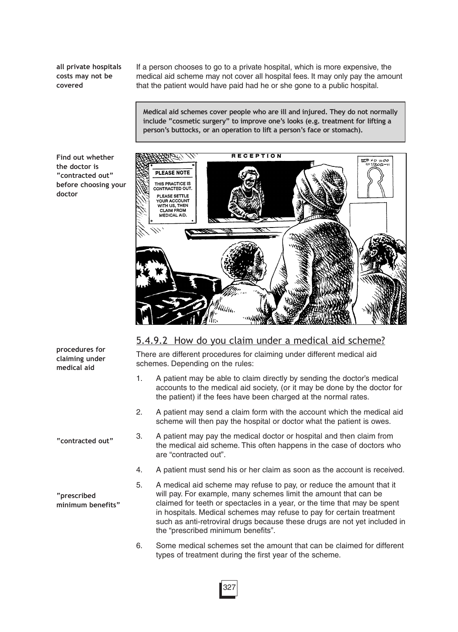**all private hospitals costs may not be covered**

If a person chooses to go to a private hospital, which is more expensive, the medical aid scheme may not cover all hospital fees. It may only pay the amount that the patient would have paid had he or she gone to a public hospital.

**Medical aid schemes cover people who are ill and injured. They do not normally include "cosmetic surgery" to improve one's looks (e.g. treatment for lifting a person's buttocks, or an operation to lift a person's face or stomach).**

**Find out whether the doctor is "contracted out" before choosing your doctor**



### 5.4.9.2 How do you claim under a medical aid scheme?

There are different procedures for claiming under different medical aid schemes. Depending on the rules:

- 1. A patient may be able to claim directly by sending the doctor's medical accounts to the medical aid society, (or it may be done by the doctor for the patient) if the fees have been charged at the normal rates.
- 2. A patient may send a claim form with the account which the medical aid scheme will then pay the hospital or doctor what the patient is owes.
- 3. A patient may pay the medical doctor or hospital and then claim from the medical aid scheme. This often happens in the case of doctors who are "contracted out".
- 4. A patient must send his or her claim as soon as the account is received.
- 5. A medical aid scheme may refuse to pay, or reduce the amount that it will pay. For example, many schemes limit the amount that can be claimed for teeth or spectacles in a year, or the time that may be spent in hospitals. Medical schemes may refuse to pay for certain treatment such as anti-retroviral drugs because these drugs are not yet included in the "prescribed minimum benefits".
- 6. Some medical schemes set the amount that can be claimed for different types of treatment during the first year of the scheme.

**"contracted out"**

**procedures for claiming under medical aid**

**"prescribed minimum benefits"**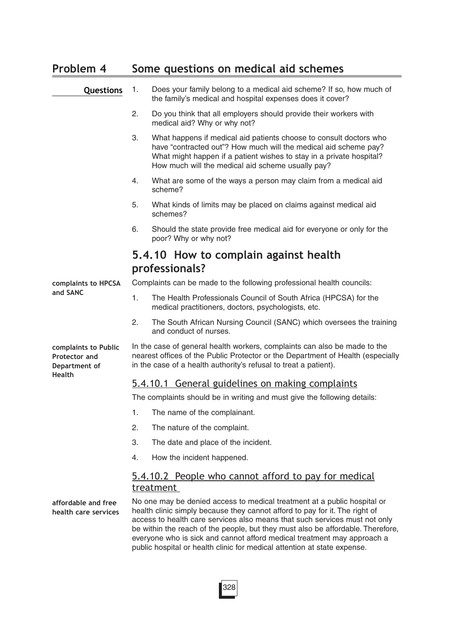# **Problem 4 Some questions on medical aid schemes**

| Questions                                                                      | 1. | Does your family belong to a medical aid scheme? If so, how much of<br>the family's medical and hospital expenses does it cover?                                                                                                                                                                                                                                                                                                                                                |
|--------------------------------------------------------------------------------|----|---------------------------------------------------------------------------------------------------------------------------------------------------------------------------------------------------------------------------------------------------------------------------------------------------------------------------------------------------------------------------------------------------------------------------------------------------------------------------------|
|                                                                                | 2. | Do you think that all employers should provide their workers with<br>medical aid? Why or why not?                                                                                                                                                                                                                                                                                                                                                                               |
|                                                                                | 3. | What happens if medical aid patients choose to consult doctors who<br>have "contracted out"? How much will the medical aid scheme pay?<br>What might happen if a patient wishes to stay in a private hospital?<br>How much will the medical aid scheme usually pay?                                                                                                                                                                                                             |
|                                                                                | 4. | What are some of the ways a person may claim from a medical aid<br>scheme?                                                                                                                                                                                                                                                                                                                                                                                                      |
|                                                                                | 5. | What kinds of limits may be placed on claims against medical aid<br>schemes?                                                                                                                                                                                                                                                                                                                                                                                                    |
|                                                                                | 6. | Should the state provide free medical aid for everyone or only for the<br>poor? Why or why not?                                                                                                                                                                                                                                                                                                                                                                                 |
|                                                                                |    | 5.4.10 How to complain against health                                                                                                                                                                                                                                                                                                                                                                                                                                           |
|                                                                                |    | professionals?                                                                                                                                                                                                                                                                                                                                                                                                                                                                  |
| complaints to HPCSA                                                            |    | Complaints can be made to the following professional health councils:                                                                                                                                                                                                                                                                                                                                                                                                           |
| and SANC                                                                       | 1. | The Health Professionals Council of South Africa (HPCSA) for the<br>medical practitioners, doctors, psychologists, etc.                                                                                                                                                                                                                                                                                                                                                         |
|                                                                                | 2. | The South African Nursing Council (SANC) which oversees the training<br>and conduct of nurses.                                                                                                                                                                                                                                                                                                                                                                                  |
| complaints to Public<br><b>Protector and</b><br>Department of<br><b>Health</b> |    | In the case of general health workers, complaints can also be made to the<br>nearest offices of the Public Protector or the Department of Health (especially<br>in the case of a health authority's refusal to treat a patient).                                                                                                                                                                                                                                                |
|                                                                                |    | 5.4.10.1 General guidelines on making complaints                                                                                                                                                                                                                                                                                                                                                                                                                                |
|                                                                                |    | The complaints should be in writing and must give the following details:                                                                                                                                                                                                                                                                                                                                                                                                        |
|                                                                                | 1. | The name of the complainant.                                                                                                                                                                                                                                                                                                                                                                                                                                                    |
|                                                                                | 2. | The nature of the complaint.                                                                                                                                                                                                                                                                                                                                                                                                                                                    |
|                                                                                | 3. | The date and place of the incident.                                                                                                                                                                                                                                                                                                                                                                                                                                             |
|                                                                                | 4. | How the incident happened.                                                                                                                                                                                                                                                                                                                                                                                                                                                      |
|                                                                                |    | <u>5.4.10.2 People who cannot afford to pay for medical</u><br>treatment                                                                                                                                                                                                                                                                                                                                                                                                        |
| affordable and free<br>health care services                                    |    | No one may be denied access to medical treatment at a public hospital or<br>health clinic simply because they cannot afford to pay for it. The right of<br>access to health care services also means that such services must not only<br>be within the reach of the people, but they must also be affordable. Therefore,<br>everyone who is sick and cannot afford medical treatment may approach a<br>public hospital or health clinic for medical attention at state expense. |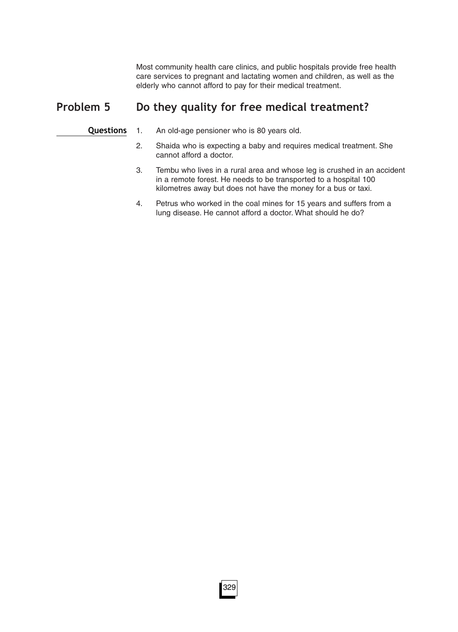Most community health care clinics, and public hospitals provide free health care services to pregnant and lactating women and children, as well as the elderly who cannot afford to pay for their medical treatment.

# **Problem 5 Do they quality for free medical treatment?**

**Questions**

1. An old-age pensioner who is 80 years old.

- 2. Shaida who is expecting a baby and requires medical treatment. She cannot afford a doctor.
- 3. Tembu who lives in a rural area and whose leg is crushed in an accident in a remote forest. He needs to be transported to a hospital 100 kilometres away but does not have the money for a bus or taxi.
- 4. Petrus who worked in the coal mines for 15 years and suffers from a lung disease. He cannot afford a doctor. What should he do?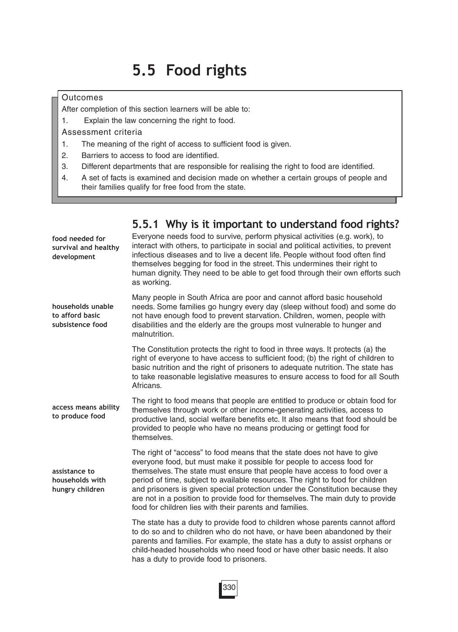# **5.5 Food rights**

### **Outcomes**

After completion of this section learners will be able to:

1. Explain the law concerning the right to food.

Assessment criteria

- 1. The meaning of the right of access to sufficient food is given.
- 2. Barriers to access to food are identified.
- 3. Different departments that are responsible for realising the right to food are identified.
- 4. A set of facts is examined and decision made on whether a certain groups of people and their families qualify for free food from the state.

|                                                          | b.b. I wily is it important to understand lood rights:                                                                                                                                                                                                                                                                                                                                                                                                                                                                                         |
|----------------------------------------------------------|------------------------------------------------------------------------------------------------------------------------------------------------------------------------------------------------------------------------------------------------------------------------------------------------------------------------------------------------------------------------------------------------------------------------------------------------------------------------------------------------------------------------------------------------|
| food needed for<br>survival and healthy<br>development   | Everyone needs food to survive, perform physical activities (e.g. work), to<br>interact with others, to participate in social and political activities, to prevent<br>infectious diseases and to live a decent life. People without food often find<br>themselves begging for food in the street. This undermines their right to<br>human dignity. They need to be able to get food through their own efforts such<br>as working.                                                                                                              |
| households unable<br>to afford basic<br>subsistence food | Many people in South Africa are poor and cannot afford basic household<br>needs. Some families go hungry every day (sleep without food) and some do<br>not have enough food to prevent starvation. Children, women, people with<br>disabilities and the elderly are the groups most vulnerable to hunger and<br>malnutrition.                                                                                                                                                                                                                  |
|                                                          | The Constitution protects the right to food in three ways. It protects (a) the<br>right of everyone to have access to sufficient food; (b) the right of children to<br>basic nutrition and the right of prisoners to adequate nutrition. The state has<br>to take reasonable legislative measures to ensure access to food for all South<br>Africans.                                                                                                                                                                                          |
| access means ability<br>to produce food                  | The right to food means that people are entitled to produce or obtain food for<br>themselves through work or other income-generating activities, access to<br>productive land, social welfare benefits etc. It also means that food should be<br>provided to people who have no means producing or gettingt food for<br>themselves.                                                                                                                                                                                                            |
| assistance to<br>households with<br>hungry children      | The right of "access" to food means that the state does not have to give<br>everyone food, but must make it possible for people to access food for<br>themselves. The state must ensure that people have access to food over a<br>period of time, subject to available resources. The right to food for children<br>and prisoners is given special protection under the Constitution because they<br>are not in a position to provide food for themselves. The main duty to provide<br>food for children lies with their parents and families. |
|                                                          | The state has a duty to provide food to children whose parents cannot afford<br>to do so and to children who do not have, or have been abandoned by their<br>parents and families. For example, the state has a duty to assist orphans or<br>child-headed households who need food or have other basic needs. It also<br>has a duty to provide food to prisoners.                                                                                                                                                                              |
|                                                          |                                                                                                                                                                                                                                                                                                                                                                                                                                                                                                                                                |

### **5.5.1 Why is it important to understand food rights?**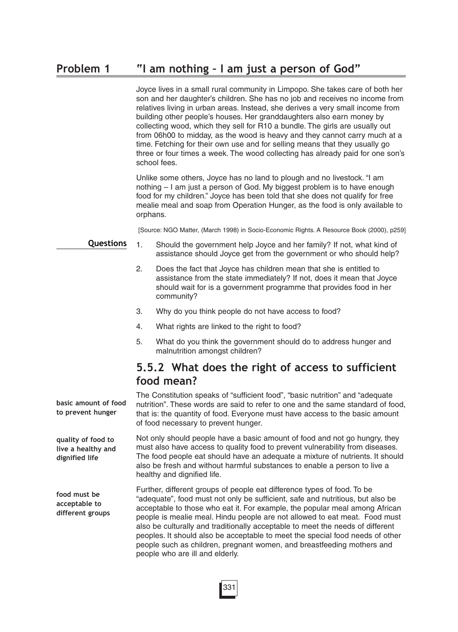Joyce lives in a small rural community in Limpopo. She takes care of both her son and her daughter's children. She has no job and receives no income from relatives living in urban areas. Instead, she derives a very small income from building other people's houses. Her granddaughters also earn money by collecting wood, which they sell for R10 a bundle. The girls are usually out from 06h00 to midday, as the wood is heavy and they cannot carry much at a time. Fetching for their own use and for selling means that they usually go three or four times a week. The wood collecting has already paid for one son's school fees.

Unlike some others, Joyce has no land to plough and no livestock. "I am nothing – I am just a person of God. My biggest problem is to have enough food for my children." Joyce has been told that she does not qualify for free mealie meal and soap from Operation Hunger, as the food is only available to orphans.

[Source: NGO Matter, (March 1998) in Socio-Economic Rights. A Resource Book (2000), p259]

#### **Questions**

**basic amount of food to prevent hunger** 

**quality of food to live a healthy and dignified life**

- 1. Should the government help Joyce and her family? If not, what kind of assistance should Joyce get from the government or who should help?
- 2. Does the fact that Joyce has children mean that she is entitled to assistance from the state immediately? If not, does it mean that Joyce should wait for is a government programme that provides food in her community?
- 3. Why do you think people do not have access to food?
- 4. What rights are linked to the right to food?
- 5. What do you think the government should do to address hunger and malnutrition amongst children?

# **5.5.2 What does the right of access to sufficient food mean?**

The Constitution speaks of "sufficient food", "basic nutrition" and "adequate nutrition". These words are said to refer to one and the same standard of food, that is: the quantity of food. Everyone must have access to the basic amount of food necessary to prevent hunger.

Not only should people have a basic amount of food and not go hungry, they must also have access to quality food to prevent vulnerability from diseases. The food people eat should have an adequate a mixture of nutrients. It should also be fresh and without harmful substances to enable a person to live a healthy and dignified life.

Further, different groups of people eat difference types of food. To be "adequate", food must not only be sufficient, safe and nutritious, but also be acceptable to those who eat it. For example, the popular meal among African people is mealie meal. Hindu people are not allowed to eat meat. Food must also be culturally and traditionally acceptable to meet the needs of different peoples. It should also be acceptable to meet the special food needs of other people such as children, pregnant women, and breastfeeding mothers and people who are ill and elderly. **food must be acceptable to different groups**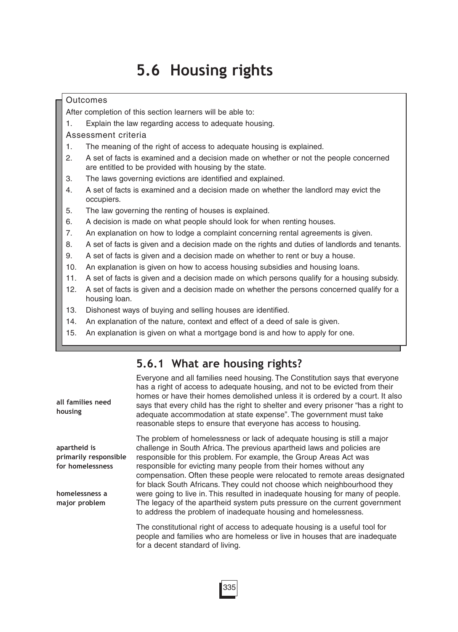# **5.6 Housing rights**

#### **Outcomes**

After completion of this section learners will be able to:

1. Explain the law regarding access to adequate housing.

Assessment criteria

- 1. The meaning of the right of access to adequate housing is explained.
- 2. A set of facts is examined and a decision made on whether or not the people concerned are entitled to be provided with housing by the state.
- 3. The laws governing evictions are identified and explained.
- 4. A set of facts is examined and a decision made on whether the landlord may evict the occupiers.
- 5. The law governing the renting of houses is explained.
- 6. A decision is made on what people should look for when renting houses.
- 7. An explanation on how to lodge a complaint concerning rental agreements is given.
- 8. A set of facts is given and a decision made on the rights and duties of landlords and tenants.
- 9. A set of facts is given and a decision made on whether to rent or buy a house.
- 10. An explanation is given on how to access housing subsidies and housing loans.
- 11. A set of facts is given and a decision made on which persons qualify for a housing subsidy.
- 12. A set of facts is given and a decision made on whether the persons concerned qualify for a housing loan.
- 13. Dishonest ways of buying and selling houses are identified.
- 14. An explanation of the nature, context and effect of a deed of sale is given.
- 15. An explanation is given on what a mortgage bond is and how to apply for one.

# **5.6.1 What are housing rights?**

| all families need<br>housing                                                | Everyone and all families need housing. The Constitution says that everyone<br>has a right of access to adequate housing, and not to be evicted from their<br>homes or have their homes demolished unless it is ordered by a court. It also<br>says that every child has the right to shelter and every prisoner "has a right to<br>adequate accommodation at state expense". The government must take<br>reasonable steps to ensure that everyone has access to housing.                                                                  |
|-----------------------------------------------------------------------------|--------------------------------------------------------------------------------------------------------------------------------------------------------------------------------------------------------------------------------------------------------------------------------------------------------------------------------------------------------------------------------------------------------------------------------------------------------------------------------------------------------------------------------------------|
| apartheid is<br>primarily responsible<br>for homelessness<br>homelessness a | The problem of homelessness or lack of adequate housing is still a major<br>challenge in South Africa. The previous apartheid laws and policies are<br>responsible for this problem. For example, the Group Areas Act was<br>responsible for evicting many people from their homes without any<br>compensation. Often these people were relocated to remote areas designated<br>for black South Africans. They could not choose which neighbourhood they<br>were going to live in. This resulted in inadequate housing for many of people. |
| major problem                                                               | The legacy of the apartheid system puts pressure on the current government<br>to address the problem of inadequate housing and homelessness.                                                                                                                                                                                                                                                                                                                                                                                               |
|                                                                             | The constitutional right of access to adequate housing is a useful tool for<br>people and families who are homeless or live in houses that are inadequate<br>for a decent standard of living.                                                                                                                                                                                                                                                                                                                                              |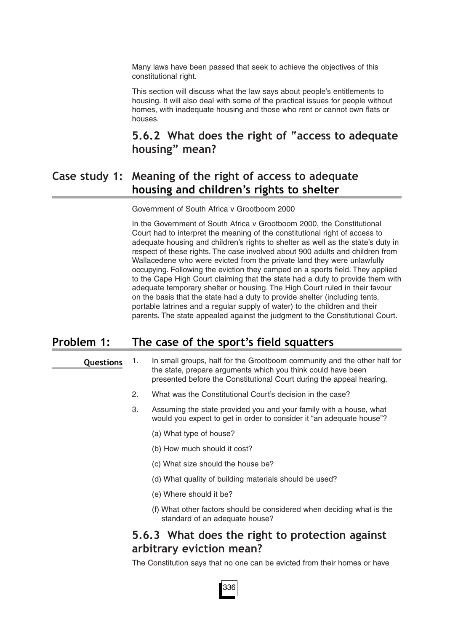Many laws have been passed that seek to achieve the objectives of this constitutional right.

This section will discuss what the law says about people's entitlements to housing. It will also deal with some of the practical issues for people without homes, with inadequate housing and those who rent or cannot own flats or houses.

# **5.6.2 What does the right of "access to adequate housing" mean?**

## **Case study 1: Meaning of the right of access to adequate housing and children's rights to shelter**

Government of South Africa v Grootboom 2000

In the Government of South Africa v Grootboom 2000, the Constitutional Court had to interpret the meaning of the constitutional right of access to adequate housing and children's rights to shelter as well as the state's duty in respect of these rights. The case involved about 900 adults and children from Wallacedene who were evicted from the private land they were unlawfully occupying. Following the eviction they camped on a sports field. They applied to the Cape High Court claiming that the state had a duty to provide them with adequate temporary shelter or housing. The High Court ruled in their favour on the basis that the state had a duty to provide shelter (including tents, portable latrines and a regular supply of water) to the children and their parents. The state appealed against the judgment to the Constitutional Court.

### **Problem 1: The case of the sport's field squatters**

#### **Questions**

- 1. In small groups, half for the Grootboom community and the other half for the state, prepare arguments which you think could have been presented before the Constitutional Court during the appeal hearing.
- 2. What was the Constitutional Court's decision in the case?
- 3. Assuming the state provided you and your family with a house, what would you expect to get in order to consider it "an adequate house"?
	- (a) What type of house?
	- (b) How much should it cost?
	- (c) What size should the house be?
	- (d) What quality of building materials should be used?
	- (e) Where should it be?
	- (f) What other factors should be considered when deciding what is the standard of an adequate house?

### **5.6.3 What does the right to protection against arbitrary eviction mean?**

The Constitution says that no one can be evicted from their homes or have

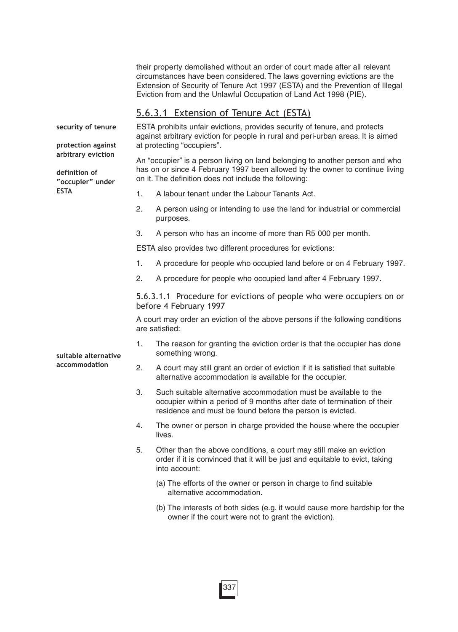their property demolished without an order of court made after all relevant circumstances have been considered. The laws governing evictions are the Extension of Security of Tenure Act 1997 (ESTA) and the Prevention of Illegal Eviction from and the Unlawful Occupation of Land Act 1998 (PIE).

### 5.6.3.1 Extension of Tenure Act (ESTA)

ESTA prohibits unfair evictions, provides security of tenure, and protects against arbitrary eviction for people in rural and peri-urban areas. It is aimed at protecting "occupiers". An "occupier" is a person living on land belonging to another person and who has on or since 4 February 1997 been allowed by the owner to continue living on it. The definition does not include the following: 1. A labour tenant under the Labour Tenants Act. 2. A person using or intending to use the land for industrial or commercial purposes. 3. A person who has an income of more than R5 000 per month. ESTA also provides two different procedures for evictions: 1. A procedure for people who occupied land before or on 4 February 1997. 2. A procedure for people who occupied land after 4 February 1997. 5.6.3.1.1 Procedure for evictions of people who were occupiers on or before 4 February 1997 A court may order an eviction of the above persons if the following conditions are satisfied: 1. The reason for granting the eviction order is that the occupier has done something wrong. 2. A court may still grant an order of eviction if it is satisfied that suitable alternative accommodation is available for the occupier. 3. Such suitable alternative accommodation must be available to the occupier within a period of 9 months after date of termination of their residence and must be found before the person is evicted. 4. The owner or person in charge provided the house where the occupier lives. 5. Other than the above conditions, a court may still make an eviction order if it is convinced that it will be just and equitable to evict, taking into account: (a) The efforts of the owner or person in charge to find suitable alternative accommodation. **security of tenure protection against arbitrary eviction definition of "occupier" under ESTA suitable alternative accommodation**

(b) The interests of both sides (e.g. it would cause more hardship for the owner if the court were not to grant the eviction).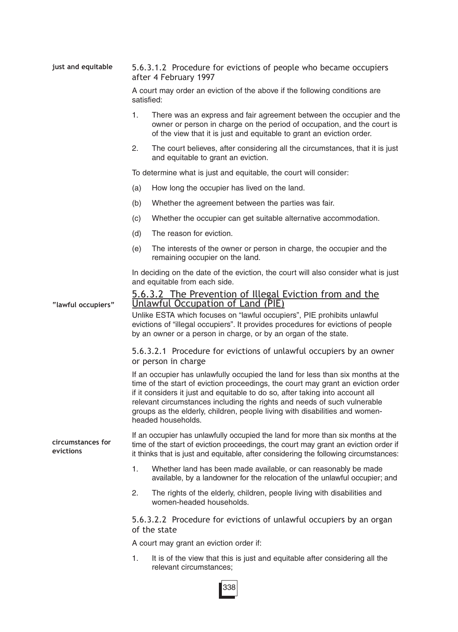| just and equitable             | 5.6.3.1.2 Procedure for evictions of people who became occupiers<br>after 4 February 1997                                                                                                                                                                   |                                                                                                                                                                                                                                                                                                                                                                                                                                       |  |  |
|--------------------------------|-------------------------------------------------------------------------------------------------------------------------------------------------------------------------------------------------------------------------------------------------------------|---------------------------------------------------------------------------------------------------------------------------------------------------------------------------------------------------------------------------------------------------------------------------------------------------------------------------------------------------------------------------------------------------------------------------------------|--|--|
|                                | A court may order an eviction of the above if the following conditions are<br>satisfied:                                                                                                                                                                    |                                                                                                                                                                                                                                                                                                                                                                                                                                       |  |  |
|                                | 1.                                                                                                                                                                                                                                                          | There was an express and fair agreement between the occupier and the<br>owner or person in charge on the period of occupation, and the court is<br>of the view that it is just and equitable to grant an eviction order.                                                                                                                                                                                                              |  |  |
|                                | 2.                                                                                                                                                                                                                                                          | The court believes, after considering all the circumstances, that it is just<br>and equitable to grant an eviction.                                                                                                                                                                                                                                                                                                                   |  |  |
|                                | To determine what is just and equitable, the court will consider:                                                                                                                                                                                           |                                                                                                                                                                                                                                                                                                                                                                                                                                       |  |  |
|                                | (a)                                                                                                                                                                                                                                                         | How long the occupier has lived on the land.                                                                                                                                                                                                                                                                                                                                                                                          |  |  |
|                                | (b)                                                                                                                                                                                                                                                         | Whether the agreement between the parties was fair.                                                                                                                                                                                                                                                                                                                                                                                   |  |  |
|                                | (c)                                                                                                                                                                                                                                                         | Whether the occupier can get suitable alternative accommodation.                                                                                                                                                                                                                                                                                                                                                                      |  |  |
|                                | (d)                                                                                                                                                                                                                                                         | The reason for eviction.                                                                                                                                                                                                                                                                                                                                                                                                              |  |  |
|                                | (e)                                                                                                                                                                                                                                                         | The interests of the owner or person in charge, the occupier and the<br>remaining occupier on the land.                                                                                                                                                                                                                                                                                                                               |  |  |
|                                |                                                                                                                                                                                                                                                             | In deciding on the date of the eviction, the court will also consider what is just<br>and equitable from each side.                                                                                                                                                                                                                                                                                                                   |  |  |
| "lawful occupiers"             | 5.6.3.2 The Prevention of Illegal Eviction from and the<br>Unlawful Occupation of Land (PIE)<br>Unlike ESTA which focuses on "lawful occupiers", PIE prohibits unlawful<br>evictions of "illegal occupiers". It provides procedures for evictions of people |                                                                                                                                                                                                                                                                                                                                                                                                                                       |  |  |
|                                | by an owner or a person in charge, or by an organ of the state.                                                                                                                                                                                             |                                                                                                                                                                                                                                                                                                                                                                                                                                       |  |  |
|                                |                                                                                                                                                                                                                                                             | 5.6.3.2.1 Procedure for evictions of unlawful occupiers by an owner<br>or person in charge                                                                                                                                                                                                                                                                                                                                            |  |  |
|                                |                                                                                                                                                                                                                                                             | If an occupier has unlawfully occupied the land for less than six months at the<br>time of the start of eviction proceedings, the court may grant an eviction order<br>if it considers it just and equitable to do so, after taking into account all<br>relevant circumstances including the rights and needs of such vulnerable<br>groups as the elderly, children, people living with disabilities and women-<br>headed households. |  |  |
| circumstances for<br>evictions |                                                                                                                                                                                                                                                             | If an occupier has unlawfully occupied the land for more than six months at the<br>time of the start of eviction proceedings, the court may grant an eviction order if<br>it thinks that is just and equitable, after considering the following circumstances:                                                                                                                                                                        |  |  |
|                                | 1.                                                                                                                                                                                                                                                          | Whether land has been made available, or can reasonably be made<br>available, by a landowner for the relocation of the unlawful occupier; and                                                                                                                                                                                                                                                                                         |  |  |
|                                | 2.                                                                                                                                                                                                                                                          | The rights of the elderly, children, people living with disabilities and<br>women-headed households.                                                                                                                                                                                                                                                                                                                                  |  |  |
|                                | 5.6.3.2.2 Procedure for evictions of unlawful occupiers by an organ<br>of the state                                                                                                                                                                         |                                                                                                                                                                                                                                                                                                                                                                                                                                       |  |  |
|                                |                                                                                                                                                                                                                                                             | A court may grant an eviction order if:                                                                                                                                                                                                                                                                                                                                                                                               |  |  |
|                                | 1.                                                                                                                                                                                                                                                          | It is of the view that this is just and equitable after considering all the<br>relevant circumstances;                                                                                                                                                                                                                                                                                                                                |  |  |

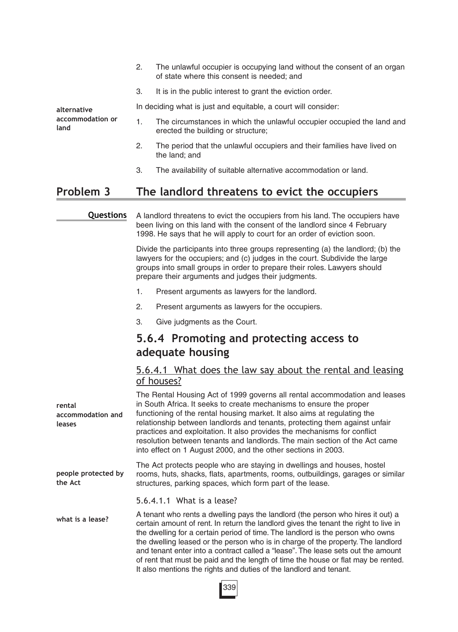| alternative<br>accommodation or<br>land | 2. | The unlawful occupier is occupying land without the consent of an organ<br>of state where this consent is needed; and |
|-----------------------------------------|----|-----------------------------------------------------------------------------------------------------------------------|
|                                         | З. | It is in the public interest to grant the eviction order.                                                             |
|                                         |    | In deciding what is just and equitable, a court will consider:                                                        |
|                                         |    | The circumstances in which the unlawful occupier occupied the land and<br>erected the building or structure;          |
|                                         | 2. | The period that the unlawful occupiers and their families have lived on<br>the land; and                              |
|                                         | 3. | The availability of suitable alternative accommodation or land.                                                       |

# **Problem 3 The landlord threatens to evict the occupiers**

#### **Questions**

A landlord threatens to evict the occupiers from his land. The occupiers have been living on this land with the consent of the landlord since 4 February 1998. He says that he will apply to court for an order of eviction soon.

Divide the participants into three groups representing (a) the landlord; (b) the lawyers for the occupiers; and (c) judges in the court. Subdivide the large groups into small groups in order to prepare their roles. Lawyers should prepare their arguments and judges their judgments.

- 1. Present arguments as lawyers for the landlord.
- 2. Present arguments as lawyers for the occupiers.
- 3. Give judgments as the Court.

# **5.6.4 Promoting and protecting access to adequate housing**

### 5.6.4.1 What does the law say about the rental and leasing of houses?

| rental<br>accommodation and<br>leases | The Rental Housing Act of 1999 governs all rental accommodation and leases<br>in South Africa. It seeks to create mechanisms to ensure the proper<br>functioning of the rental housing market. It also aims at regulating the<br>relationship between landlords and tenants, protecting them against unfair<br>practices and exploitation. It also provides the mechanisms for conflict<br>resolution between tenants and landlords. The main section of the Act came<br>into effect on 1 August 2000, and the other sections in 2003.                                                       |
|---------------------------------------|----------------------------------------------------------------------------------------------------------------------------------------------------------------------------------------------------------------------------------------------------------------------------------------------------------------------------------------------------------------------------------------------------------------------------------------------------------------------------------------------------------------------------------------------------------------------------------------------|
| people protected by<br>the Act        | The Act protects people who are staying in dwellings and houses, hostel<br>rooms, huts, shacks, flats, apartments, rooms, outbuildings, garages or similar<br>structures, parking spaces, which form part of the lease.                                                                                                                                                                                                                                                                                                                                                                      |
|                                       | 5.6.4.1.1 What is a lease?                                                                                                                                                                                                                                                                                                                                                                                                                                                                                                                                                                   |
| what is a lease?                      | A tenant who rents a dwelling pays the landlord (the person who hires it out) a<br>certain amount of rent. In return the landlord gives the tenant the right to live in<br>the dwelling for a certain period of time. The landlord is the person who owns<br>the dwelling leased or the person who is in charge of the property. The landlord<br>and tenant enter into a contract called a "lease". The lease sets out the amount<br>of rent that must be paid and the length of time the house or flat may be rented.<br>It also mentions the rights and duties of the landlord and tenant. |

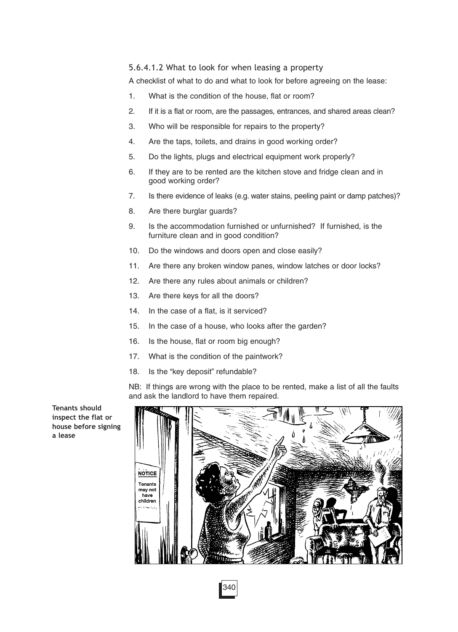#### 5.6.4.1.2 What to look for when leasing a property

A checklist of what to do and what to look for before agreeing on the lease:

- 1. What is the condition of the house, flat or room?
- 2. If it is a flat or room, are the passages, entrances, and shared areas clean?
- 3. Who will be responsible for repairs to the property?
- 4. Are the taps, toilets, and drains in good working order?
- 5. Do the lights, plugs and electrical equipment work properly?
- 6. If they are to be rented are the kitchen stove and fridge clean and in good working order?
- 7. Is there evidence of leaks (e.g. water stains, peeling paint or damp patches)?
- 8. Are there burglar guards?
- 9. Is the accommodation furnished or unfurnished? If furnished, is the furniture clean and in good condition?
- 10. Do the windows and doors open and close easily?
- 11. Are there any broken window panes, window latches or door locks?
- 12. Are there any rules about animals or children?
- 13. Are there keys for all the doors?
- 14. In the case of a flat, is it serviced?
- 15. In the case of a house, who looks after the garden?
- 16. Is the house, flat or room big enough?
- 17. What is the condition of the paintwork?
- 18. Is the "key deposit" refundable?

NB: If things are wrong with the place to be rented, make a list of all the faults and ask the landlord to have them repaired.

**Tenants should inspect the flat or house before signing a lease**

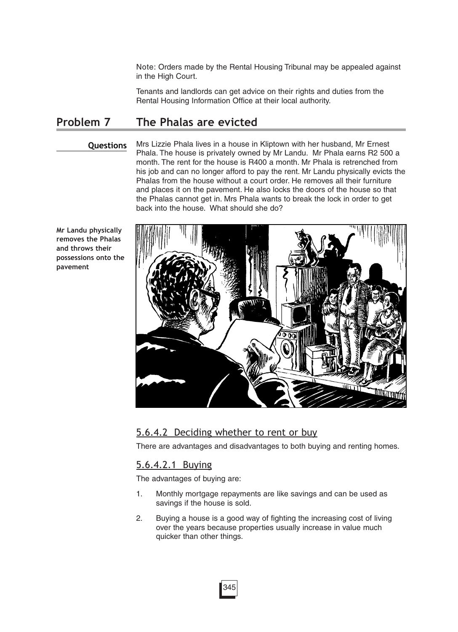Note: Orders made by the Rental Housing Tribunal may be appealed against in the High Court.

Tenants and landlords can get advice on their rights and duties from the Rental Housing Information Office at their local authority.

### **Problem 7 The Phalas are evicted**

#### **Questions**

Mrs Lizzie Phala lives in a house in Kliptown with her husband, Mr Ernest Phala. The house is privately owned by Mr Landu. Mr Phala earns R2 500 a month. The rent for the house is R400 a month. Mr Phala is retrenched from his job and can no longer afford to pay the rent. Mr Landu physically evicts the Phalas from the house without a court order. He removes all their furniture and places it on the pavement. He also locks the doors of the house so that the Phalas cannot get in. Mrs Phala wants to break the lock in order to get back into the house. What should she do?

**Mr Landu physically removes the Phalas and throws their possessions onto the pavement**



### 5.6.4.2 Deciding whether to rent or buy

There are advantages and disadvantages to both buying and renting homes.

### 5.6.4.2.1 Buying

The advantages of buying are:

- 1. Monthly mortgage repayments are like savings and can be used as savings if the house is sold.
- 2. Buying a house is a good way of fighting the increasing cost of living over the years because properties usually increase in value much quicker than other things.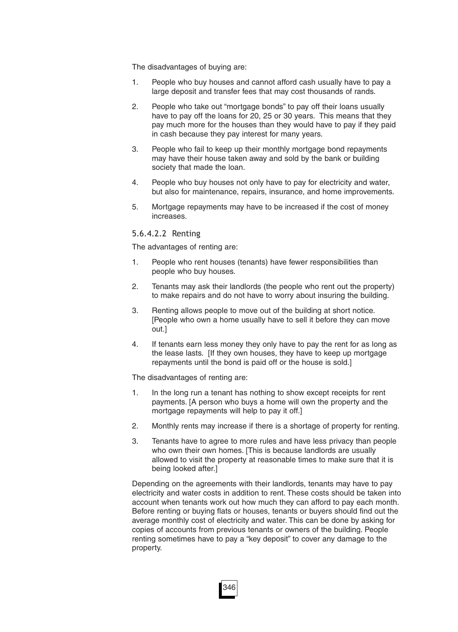The disadvantages of buying are:

- 1. People who buy houses and cannot afford cash usually have to pay a large deposit and transfer fees that may cost thousands of rands.
- 2. People who take out "mortgage bonds" to pay off their loans usually have to pay off the loans for 20, 25 or 30 years. This means that they pay much more for the houses than they would have to pay if they paid in cash because they pay interest for many years.
- 3. People who fail to keep up their monthly mortgage bond repayments may have their house taken away and sold by the bank or building society that made the loan.
- 4. People who buy houses not only have to pay for electricity and water, but also for maintenance, repairs, insurance, and home improvements.
- 5. Mortgage repayments may have to be increased if the cost of money increases.

#### 5.6.4.2.2 Renting

The advantages of renting are:

- 1. People who rent houses (tenants) have fewer responsibilities than people who buy houses.
- 2. Tenants may ask their landlords (the people who rent out the property) to make repairs and do not have to worry about insuring the building.
- 3. Renting allows people to move out of the building at short notice. [People who own a home usually have to sell it before they can move out.]
- 4. If tenants earn less money they only have to pay the rent for as long as the lease lasts. [If they own houses, they have to keep up mortgage repayments until the bond is paid off or the house is sold.]

The disadvantages of renting are:

- 1. In the long run a tenant has nothing to show except receipts for rent payments. [A person who buys a home will own the property and the mortgage repayments will help to pay it off.]
- 2. Monthly rents may increase if there is a shortage of property for renting.
- 3. Tenants have to agree to more rules and have less privacy than people who own their own homes. [This is because landlords are usually allowed to visit the property at reasonable times to make sure that it is being looked after.]

Depending on the agreements with their landlords, tenants may have to pay electricity and water costs in addition to rent. These costs should be taken into account when tenants work out how much they can afford to pay each month. Before renting or buying flats or houses, tenants or buyers should find out the average monthly cost of electricity and water. This can be done by asking for copies of accounts from previous tenants or owners of the building. People renting sometimes have to pay a "key deposit" to cover any damage to the property.

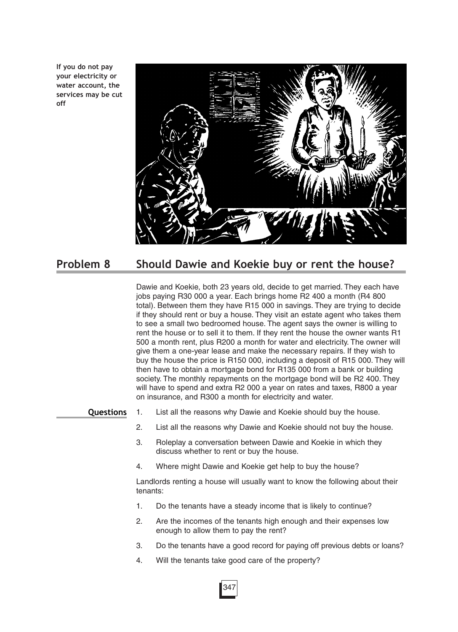**If you do not pay your electricity or water account, the services may be cut off**



# **Problem 8 Should Dawie and Koekie buy or rent the house?**

Dawie and Koekie, both 23 years old, decide to get married. They each have jobs paying R30 000 a year. Each brings home R2 400 a month (R4 800 total). Between them they have R15 000 in savings. They are trying to decide if they should rent or buy a house. They visit an estate agent who takes them to see a small two bedroomed house. The agent says the owner is willing to rent the house or to sell it to them. If they rent the house the owner wants R1 500 a month rent, plus R200 a month for water and electricity. The owner will give them a one-year lease and make the necessary repairs. If they wish to buy the house the price is R150 000, including a deposit of R15 000. They will then have to obtain a mortgage bond for R135 000 from a bank or building society. The monthly repayments on the mortgage bond will be R2 400. They will have to spend and extra R2 000 a year on rates and taxes, R800 a year on insurance, and R300 a month for electricity and water.

**Questions**

- 1. List all the reasons why Dawie and Koekie should buy the house.
	- 2. List all the reasons why Dawie and Koekie should not buy the house.
	- 3. Roleplay a conversation between Dawie and Koekie in which they discuss whether to rent or buy the house.
	- 4. Where might Dawie and Koekie get help to buy the house?

Landlords renting a house will usually want to know the following about their tenants:

- 1. Do the tenants have a steady income that is likely to continue?
- 2. Are the incomes of the tenants high enough and their expenses low enough to allow them to pay the rent?
- 3. Do the tenants have a good record for paying off previous debts or loans?
- 4. Will the tenants take good care of the property?

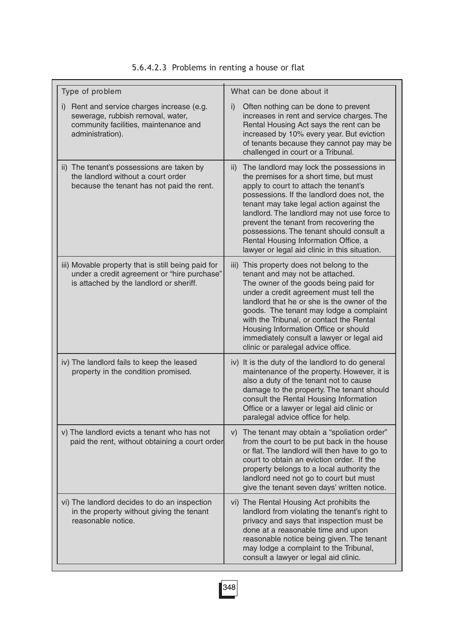| Type of problem                                                                                                                              | What can be done about it                                                                                                                                                                                                                                                                                                                                                                                                                                             |
|----------------------------------------------------------------------------------------------------------------------------------------------|-----------------------------------------------------------------------------------------------------------------------------------------------------------------------------------------------------------------------------------------------------------------------------------------------------------------------------------------------------------------------------------------------------------------------------------------------------------------------|
| i) Rent and service charges increase (e.g.<br>sewerage, rubbish removal, water,<br>community facilities, maintenance and<br>administration). | Often nothing can be done to prevent<br>i)<br>increases in rent and service charges. The<br>Rental Housing Act says the rent can be<br>increased by 10% every year. But eviction<br>of tenants because they cannot pay may be<br>challenged in court or a Tribunal.                                                                                                                                                                                                   |
| ii) The tenant's possessions are taken by<br>the landlord without a court order<br>because the tenant has not paid the rent.                 | The landlord may lock the possessions in<br>$\mathsf{ii}$<br>the premises for a short time, but must<br>apply to court to attach the tenant's<br>possessions. If the landlord does not, the<br>tenant may take legal action against the<br>landlord. The landlord may not use force to<br>prevent the tenant from recovering the<br>possessions. The tenant should consult a<br>Rental Housing Information Office, a<br>lawyer or legal aid clinic in this situation. |
| iii) Movable property that is still being paid for<br>under a credit agreement or "hire purchase"<br>is attached by the landlord or sheriff. | This property does not belong to the<br>iii)<br>tenant and may not be attached.<br>The owner of the goods being paid for<br>under a credit agreement must tell the<br>landlord that he or she is the owner of the<br>goods. The tenant may lodge a complaint<br>with the Tribunal, or contact the Rental<br>Housing Information Office or should<br>immediately consult a lawyer or legal aid<br>clinic or paralegal advice office.                                   |
| iv) The landlord fails to keep the leased<br>property in the condition promised.                                                             | It is the duty of the landlord to do general<br>$\mathsf{iv}$<br>maintenance of the property. However, it is<br>also a duty of the tenant not to cause<br>damage to the property. The tenant should<br>consult the Rental Housing Information<br>Office or a lawyer or legal aid clinic or<br>paralegal advice office for help.                                                                                                                                       |
| v) The landlord evicts a tenant who has not<br>paid the rent, without obtaining a court order                                                | The tenant may obtain a "spoliation order"<br>V)<br>from the court to be put back in the house<br>or flat. The landlord will then have to go to<br>court to obtain an eviction order. If the<br>property belongs to a local authority the<br>landlord need not go to court but must<br>give the tenant seven days' written notice.                                                                                                                                    |
| vi) The landlord decides to do an inspection<br>in the property without giving the tenant<br>reasonable notice.                              | vi) The Rental Housing Act prohibits the<br>landlord from violating the tenant's right to<br>privacy and says that inspection must be<br>done at a reasonable time and upon<br>reasonable notice being given. The tenant<br>may lodge a complaint to the Tribunal,<br>consult a lawyer or legal aid clinic.                                                                                                                                                           |

### 5.6.4.2.3 Problems in renting a house or flat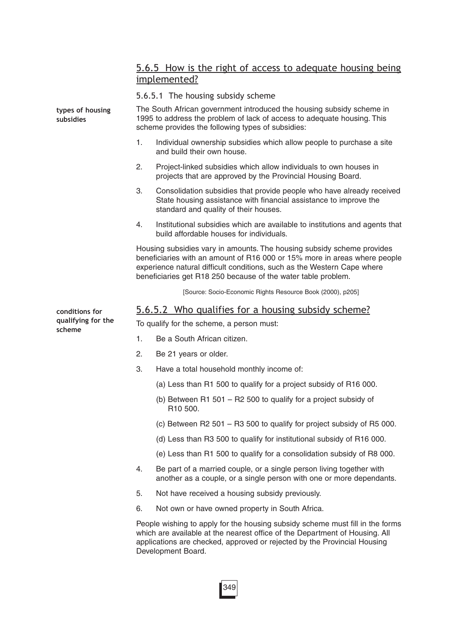### 5.6.5 How is the right of access to adequate housing being implemented?

5.6.5.1 The housing subsidy scheme

| types of housing<br>subsidies | The South African government introduced the housing subsidy scheme in<br>1995 to address the problem of lack of access to adequate housing. This<br>scheme provides the following types of subsidies: |                                                                                                                                                                                                                                                                                                 |  |  |  |
|-------------------------------|-------------------------------------------------------------------------------------------------------------------------------------------------------------------------------------------------------|-------------------------------------------------------------------------------------------------------------------------------------------------------------------------------------------------------------------------------------------------------------------------------------------------|--|--|--|
|                               | 1.                                                                                                                                                                                                    | Individual ownership subsidies which allow people to purchase a site<br>and build their own house.                                                                                                                                                                                              |  |  |  |
|                               | 2.                                                                                                                                                                                                    | Project-linked subsidies which allow individuals to own houses in<br>projects that are approved by the Provincial Housing Board.                                                                                                                                                                |  |  |  |
|                               | 3.                                                                                                                                                                                                    | Consolidation subsidies that provide people who have already received<br>State housing assistance with financial assistance to improve the<br>standard and quality of their houses.                                                                                                             |  |  |  |
|                               | 4.                                                                                                                                                                                                    | Institutional subsidies which are available to institutions and agents that<br>build affordable houses for individuals.                                                                                                                                                                         |  |  |  |
|                               |                                                                                                                                                                                                       | Housing subsidies vary in amounts. The housing subsidy scheme provides<br>beneficiaries with an amount of R16 000 or 15% more in areas where people<br>experience natural difficult conditions, such as the Western Cape where<br>beneficiaries get R18 250 because of the water table problem. |  |  |  |
|                               |                                                                                                                                                                                                       | [Source: Socio-Economic Rights Resource Book (2000), p205]                                                                                                                                                                                                                                      |  |  |  |
| conditions for                |                                                                                                                                                                                                       | 5.6.5.2 Who qualifies for a housing subsidy scheme?                                                                                                                                                                                                                                             |  |  |  |
| qualifying for the<br>scheme  |                                                                                                                                                                                                       | To qualify for the scheme, a person must:                                                                                                                                                                                                                                                       |  |  |  |
|                               | 1.                                                                                                                                                                                                    | Be a South African citizen.                                                                                                                                                                                                                                                                     |  |  |  |
|                               | 2.                                                                                                                                                                                                    | Be 21 years or older.                                                                                                                                                                                                                                                                           |  |  |  |
|                               | 3.                                                                                                                                                                                                    | Have a total household monthly income of:                                                                                                                                                                                                                                                       |  |  |  |
|                               |                                                                                                                                                                                                       | (a) Less than R1 500 to qualify for a project subsidy of R16 000.                                                                                                                                                                                                                               |  |  |  |
|                               |                                                                                                                                                                                                       | (b) Between R1 501 $-$ R2 500 to qualify for a project subsidy of<br>R10 500.                                                                                                                                                                                                                   |  |  |  |
|                               |                                                                                                                                                                                                       | (c) Between R2 501 - R3 500 to qualify for project subsidy of R5 000.                                                                                                                                                                                                                           |  |  |  |
|                               |                                                                                                                                                                                                       | (d) Less than R3 500 to qualify for institutional subsidy of R16 000.                                                                                                                                                                                                                           |  |  |  |
|                               |                                                                                                                                                                                                       | (e) Less than R1 500 to qualify for a consolidation subsidy of R8 000.                                                                                                                                                                                                                          |  |  |  |
|                               | 4.                                                                                                                                                                                                    | Be part of a married couple, or a single person living together with<br>another as a couple, or a single person with one or more dependants.                                                                                                                                                    |  |  |  |
|                               | 5.                                                                                                                                                                                                    | Not have received a housing subsidy previously.                                                                                                                                                                                                                                                 |  |  |  |
|                               | 6.                                                                                                                                                                                                    | Not own or have owned property in South Africa.                                                                                                                                                                                                                                                 |  |  |  |
|                               |                                                                                                                                                                                                       | People wishing to apply for the housing subsidy scheme must fill in the forms<br>which are available at the nearest office of the Department of Housing. All<br>applications are checked, approved or rejected by the Provincial Housing<br>Development Board.                                  |  |  |  |
|                               |                                                                                                                                                                                                       |                                                                                                                                                                                                                                                                                                 |  |  |  |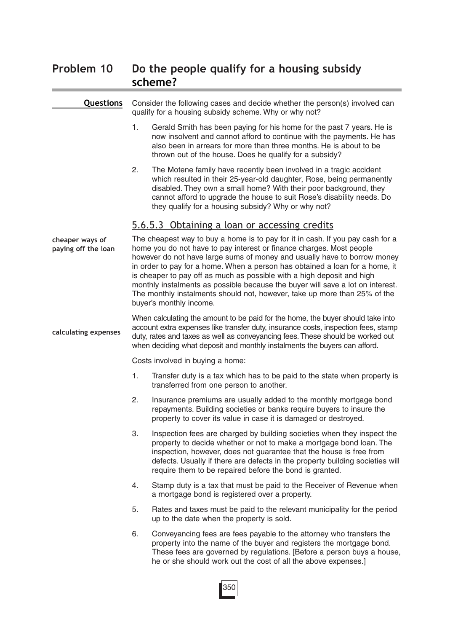# **Problem 10 Do the people qualify for a housing subsidy scheme?**

**Questions**

Consider the following cases and decide whether the person(s) involved can

#### qualify for a housing subsidy scheme. Why or why not? 1. Gerald Smith has been paying for his home for the past 7 years. He is now insolvent and cannot afford to continue with the payments. He has also been in arrears for more than three months. He is about to be thrown out of the house. Does he qualify for a subsidy? 2. The Motene family have recently been involved in a tragic accident which resulted in their 25-year-old daughter, Rose, being permanently disabled. They own a small home? With their poor background, they cannot afford to upgrade the house to suit Rose's disability needs. Do they qualify for a housing subsidy? Why or why not? 5.6.5.3 Obtaining a loan or accessing credits The cheapest way to buy a home is to pay for it in cash. If you pay cash for a home you do not have to pay interest or finance charges. Most people however do not have large sums of money and usually have to borrow money in order to pay for a home. When a person has obtained a loan for a home, it is cheaper to pay off as much as possible with a high deposit and high monthly instalments as possible because the buyer will save a lot on interest. The monthly instalments should not, however, take up more than 25% of the buyer's monthly income. When calculating the amount to be paid for the home, the buyer should take into account extra expenses like transfer duty, insurance costs, inspection fees, stamp duty, rates and taxes as well as conveyancing fees. These should be worked out when deciding what deposit and monthly instalments the buyers can afford. Costs involved in buying a home: 1. Transfer duty is a tax which has to be paid to the state when property is transferred from one person to another. 2. Insurance premiums are usually added to the monthly mortgage bond repayments. Building societies or banks require buyers to insure the property to cover its value in case it is damaged or destroyed. 3. Inspection fees are charged by building societies when they inspect the property to decide whether or not to make a mortgage bond loan. The inspection, however, does not guarantee that the house is free from defects. Usually if there are defects in the property building societies will require them to be repaired before the bond is granted. 4. Stamp duty is a tax that must be paid to the Receiver of Revenue when a mortgage bond is registered over a property. 5. Rates and taxes must be paid to the relevant municipality for the period up to the date when the property is sold. 6. Conveyancing fees are fees payable to the attorney who transfers the property into the name of the buyer and registers the mortgage bond. These fees are governed by regulations. [Before a person buys a house, he or she should work out the cost of all the above expenses.] **cheaper ways of paying off the loan calculating expenses**

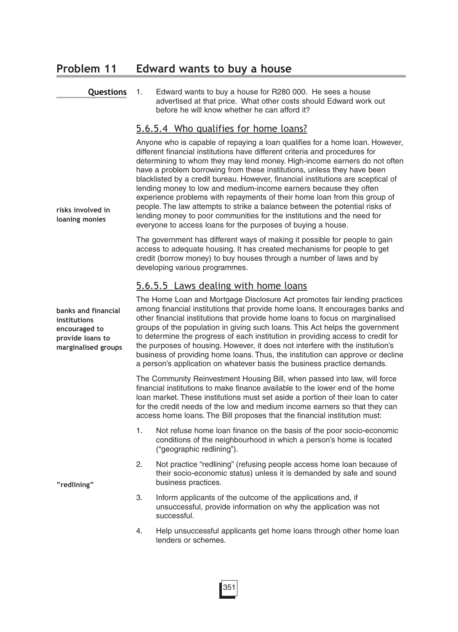### **Problem 11 Edward wants to buy a house**

#### **Questions**

1. Edward wants to buy a house for R280 000. He sees a house advertised at that price. What other costs should Edward work out before he will know whether he can afford it?

#### 5.6.5.4 Who qualifies for home loans?

Anyone who is capable of repaying a loan qualifies for a home loan. However, different financial institutions have different criteria and procedures for determining to whom they may lend money. High-income earners do not often have a problem borrowing from these institutions, unless they have been blacklisted by a credit bureau. However, financial institutions are sceptical of lending money to low and medium-income earners because they often experience problems with repayments of their home loan from this group of people. The law attempts to strike a balance between the potential risks of lending money to poor communities for the institutions and the need for everyone to access loans for the purposes of buying a house.

The government has different ways of making it possible for people to gain access to adequate housing. It has created mechanisms for people to get credit (borrow money) to buy houses through a number of laws and by developing various programmes.

### 5.6.5.5 Laws dealing with home loans

The Home Loan and Mortgage Disclosure Act promotes fair lending practices among financial institutions that provide home loans. It encourages banks and other financial institutions that provide home loans to focus on marginalised groups of the population in giving such loans. This Act helps the government to determine the progress of each institution in providing access to credit for the purposes of housing. However, it does not interfere with the institution's business of providing home loans. Thus, the institution can approve or decline a person's application on whatever basis the business practice demands.

The Community Reinvestment Housing Bill, when passed into law, will force financial institutions to make finance available to the lower end of the home loan market. These institutions must set aside a portion of their loan to cater for the credit needs of the low and medium income earners so that they can access home loans. The Bill proposes that the financial institution must:

- 1. Not refuse home loan finance on the basis of the poor socio-economic conditions of the neighbourhood in which a person's home is located ("geographic redlining").
- 2. Not practice "redlining" (refusing people access home loan because of their socio-economic status) unless it is demanded by safe and sound business practices.
- 3. Inform applicants of the outcome of the applications and, if unsuccessful, provide information on why the application was not successful.
- 4. Help unsuccessful applicants get home loans through other home loan lenders or schemes.

**banks and financial institutions encouraged to provide loans to marginalised groups**

**risks involved in loaning monies**

**"redlining"**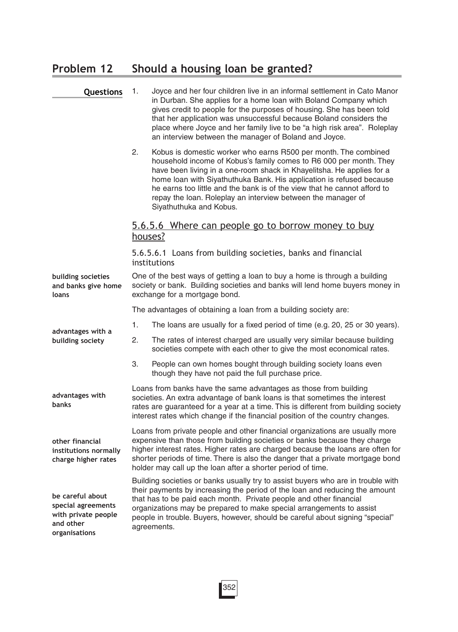# **Problem 12 Should a housing loan be granted?**

| Questions                                                                                   | 1.                                                                                                                                                                                                                                                                                                                                                                                                            | Joyce and her four children live in an informal settlement in Cato Manor<br>in Durban. She applies for a home loan with Boland Company which<br>gives credit to people for the purposes of housing. She has been told<br>that her application was unsuccessful because Boland considers the<br>place where Joyce and her family live to be "a high risk area". Roleplay<br>an interview between the manager of Boland and Joyce.                              |  |
|---------------------------------------------------------------------------------------------|---------------------------------------------------------------------------------------------------------------------------------------------------------------------------------------------------------------------------------------------------------------------------------------------------------------------------------------------------------------------------------------------------------------|---------------------------------------------------------------------------------------------------------------------------------------------------------------------------------------------------------------------------------------------------------------------------------------------------------------------------------------------------------------------------------------------------------------------------------------------------------------|--|
|                                                                                             | 2.                                                                                                                                                                                                                                                                                                                                                                                                            | Kobus is domestic worker who earns R500 per month. The combined<br>household income of Kobus's family comes to R6 000 per month. They<br>have been living in a one-room shack in Khayelitsha. He applies for a<br>home loan with Siyathuthuka Bank. His application is refused because<br>he earns too little and the bank is of the view that he cannot afford to<br>repay the loan. Roleplay an interview between the manager of<br>Siyathuthuka and Kobus. |  |
|                                                                                             | houses?                                                                                                                                                                                                                                                                                                                                                                                                       | 5.6.5.6 Where can people go to borrow money to buy                                                                                                                                                                                                                                                                                                                                                                                                            |  |
|                                                                                             |                                                                                                                                                                                                                                                                                                                                                                                                               | 5.6.5.6.1 Loans from building societies, banks and financial<br>institutions                                                                                                                                                                                                                                                                                                                                                                                  |  |
| building societies<br>and banks give home<br>loans                                          |                                                                                                                                                                                                                                                                                                                                                                                                               | One of the best ways of getting a loan to buy a home is through a building<br>society or bank. Building societies and banks will lend home buyers money in<br>exchange for a mortgage bond.                                                                                                                                                                                                                                                                   |  |
|                                                                                             |                                                                                                                                                                                                                                                                                                                                                                                                               | The advantages of obtaining a loan from a building society are:                                                                                                                                                                                                                                                                                                                                                                                               |  |
| advantages with a                                                                           | 1.                                                                                                                                                                                                                                                                                                                                                                                                            | The loans are usually for a fixed period of time (e.g. 20, 25 or 30 years).                                                                                                                                                                                                                                                                                                                                                                                   |  |
| building society                                                                            | 2.                                                                                                                                                                                                                                                                                                                                                                                                            | The rates of interest charged are usually very similar because building<br>societies compete with each other to give the most economical rates.                                                                                                                                                                                                                                                                                                               |  |
|                                                                                             | 3.                                                                                                                                                                                                                                                                                                                                                                                                            | People can own homes bought through building society loans even<br>though they have not paid the full purchase price.                                                                                                                                                                                                                                                                                                                                         |  |
| advantages with<br>banks                                                                    | Loans from banks have the same advantages as those from building<br>societies. An extra advantage of bank loans is that sometimes the interest<br>rates are guaranteed for a year at a time. This is different from building society<br>interest rates which change if the financial position of the country changes.                                                                                         |                                                                                                                                                                                                                                                                                                                                                                                                                                                               |  |
| other financial<br>institutions normally<br>charge higher rates                             | Loans from private people and other financial organizations are usually more<br>expensive than those from building societies or banks because they charge<br>higher interest rates. Higher rates are charged because the loans are often for<br>shorter periods of time. There is also the danger that a private mortgage bond<br>holder may call up the loan after a shorter period of time.                 |                                                                                                                                                                                                                                                                                                                                                                                                                                                               |  |
| be careful about<br>special agreements<br>with private people<br>and other<br>organisations | Building societies or banks usually try to assist buyers who are in trouble with<br>their payments by increasing the period of the loan and reducing the amount<br>that has to be paid each month. Private people and other financial<br>organizations may be prepared to make special arrangements to assist<br>people in trouble. Buyers, however, should be careful about signing "special"<br>agreements. |                                                                                                                                                                                                                                                                                                                                                                                                                                                               |  |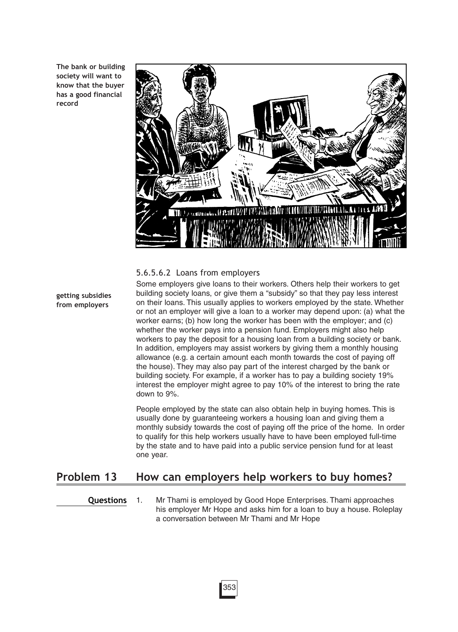**The bank or building society will want to know that the buyer has a good financial record**



#### 5.6.5.6.2 Loans from employers

**getting subsidies from employers**

Some employers give loans to their workers. Others help their workers to get building society loans, or give them a "subsidy" so that they pay less interest on their loans. This usually applies to workers employed by the state. Whether or not an employer will give a loan to a worker may depend upon: (a) what the worker earns; (b) how long the worker has been with the employer; and (c) whether the worker pays into a pension fund. Employers might also help workers to pay the deposit for a housing loan from a building society or bank. In addition, employers may assist workers by giving them a monthly housing allowance (e.g. a certain amount each month towards the cost of paying off the house). They may also pay part of the interest charged by the bank or building society. For example, if a worker has to pay a building society 19% interest the employer might agree to pay 10% of the interest to bring the rate down to 9%.

People employed by the state can also obtain help in buying homes. This is usually done by guaranteeing workers a housing loan and giving them a monthly subsidy towards the cost of paying off the price of the home. In order to qualify for this help workers usually have to have been employed full-time by the state and to have paid into a public service pension fund for at least one year.

### **Problem 13 How can employers help workers to buy homes?**

**Questions**

1. Mr Thami is employed by Good Hope Enterprises. Thami approaches his employer Mr Hope and asks him for a loan to buy a house. Roleplay a conversation between Mr Thami and Mr Hope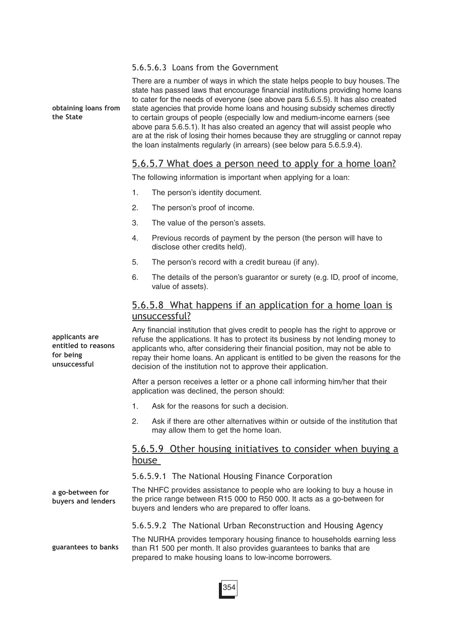#### 5.6.5.6.3 Loans from the Government

**obtaining loans from the State**

There are a number of ways in which the state helps people to buy houses. The state has passed laws that encourage financial institutions providing home loans to cater for the needs of everyone (see above para 5.6.5.5). It has also created state agencies that provide home loans and housing subsidy schemes directly to certain groups of people (especially low and medium-income earners (see above para 5.6.5.1). It has also created an agency that will assist people who are at the risk of losing their homes because they are struggling or cannot repay the loan instalments regularly (in arrears) (see below para 5.6.5.9.4).

### 5.6.5.7 What does a person need to apply for a home loan?

The following information is important when applying for a loan:

- 1. The person's identity document.
- 2. The person's proof of income.
- 3. The value of the person's assets.
- 4. Previous records of payment by the person (the person will have to disclose other credits held).
- 5. The person's record with a credit bureau (if any).
- 6. The details of the person's guarantor or surety (e.g. ID, proof of income, value of assets).

### 5.6.5.8 What happens if an application for a home loan is unsuccessful?

Any financial institution that gives credit to people has the right to approve or refuse the applications. It has to protect its business by not lending money to applicants who, after considering their financial position, may not be able to repay their home loans. An applicant is entitled to be given the reasons for the decision of the institution not to approve their application.

After a person receives a letter or a phone call informing him/her that their application was declined, the person should:

- 1. Ask for the reasons for such a decision.
- 2. Ask if there are other alternatives within or outside of the institution that may allow them to get the home loan.

### 5.6.5.9 Other housing initiatives to consider when buying a house

5.6.5.9.1 The National Housing Finance Corporation

The NHFC provides assistance to people who are looking to buy a house in the price range between R15 000 to R50 000. It acts as a go-between for buyers and lenders who are prepared to offer loans. **a go-between for buyers and lenders**

5.6.5.9.2 The National Urban Reconstruction and Housing Agency

The NURHA provides temporary housing finance to households earning less than R1 500 per month. It also provides guarantees to banks that are prepared to make housing loans to low-income borrowers. **guarantees to banks**

**applicants are entitled to reasons for being unsuccessful**

354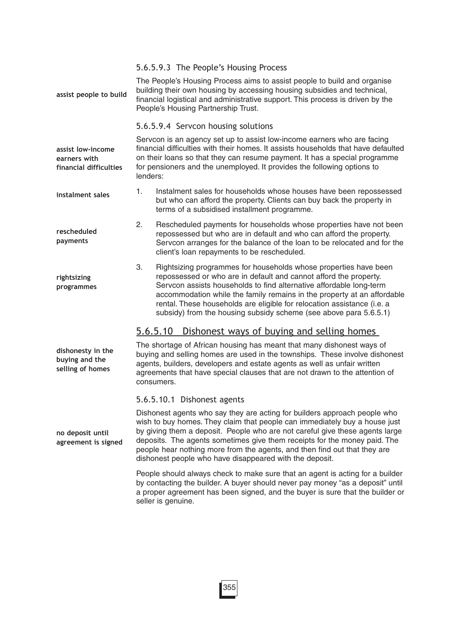| assist people to build                                      |                                                                                                                                                                                                                                                                                                                                    | 5.6.5.9.3 The People's Housing Process<br>The People's Housing Process aims to assist people to build and organise<br>building their own housing by accessing housing subsidies and technical,<br>financial logistical and administrative support. This process is driven by the<br>People's Housing Partnership Trust.                                                                                                                 |
|-------------------------------------------------------------|------------------------------------------------------------------------------------------------------------------------------------------------------------------------------------------------------------------------------------------------------------------------------------------------------------------------------------|-----------------------------------------------------------------------------------------------------------------------------------------------------------------------------------------------------------------------------------------------------------------------------------------------------------------------------------------------------------------------------------------------------------------------------------------|
|                                                             |                                                                                                                                                                                                                                                                                                                                    | 5.6.5.9.4 Servcon housing solutions                                                                                                                                                                                                                                                                                                                                                                                                     |
| assist low-income<br>earners with<br>financial difficulties | Servcon is an agency set up to assist low-income earners who are facing<br>financial difficulties with their homes. It assists households that have defaulted<br>on their loans so that they can resume payment. It has a special programme<br>for pensioners and the unemployed. It provides the following options to<br>lenders: |                                                                                                                                                                                                                                                                                                                                                                                                                                         |
| instalment sales                                            | 1.                                                                                                                                                                                                                                                                                                                                 | Instalment sales for households whose houses have been repossessed<br>but who can afford the property. Clients can buy back the property in<br>terms of a subsidised installment programme.                                                                                                                                                                                                                                             |
| rescheduled<br>payments                                     | 2.                                                                                                                                                                                                                                                                                                                                 | Rescheduled payments for households whose properties have not been<br>repossessed but who are in default and who can afford the property.<br>Servcon arranges for the balance of the loan to be relocated and for the<br>client's loan repayments to be rescheduled.                                                                                                                                                                    |
| rightsizing<br>programmes                                   | 3.                                                                                                                                                                                                                                                                                                                                 | Rightsizing programmes for households whose properties have been<br>repossessed or who are in default and cannot afford the property.<br>Servcon assists households to find alternative affordable long-term<br>accommodation while the family remains in the property at an affordable<br>rental. These households are eligible for relocation assistance (i.e. a<br>subsidy) from the housing subsidy scheme (see above para 5.6.5.1) |
|                                                             |                                                                                                                                                                                                                                                                                                                                    | 5.6.5.10<br>Dishonest ways of buying and selling homes                                                                                                                                                                                                                                                                                                                                                                                  |
| dishonesty in the<br>buying and the<br>selling of homes     |                                                                                                                                                                                                                                                                                                                                    | The shortage of African housing has meant that many dishonest ways of<br>buying and selling homes are used in the townships. These involve dishonest<br>agents, builders, developers and estate agents as well as unfair written<br>agreements that have special clauses that are not drawn to the attention of<br>consumers.                                                                                                           |
|                                                             |                                                                                                                                                                                                                                                                                                                                    | 5.6.5.10.1 Dishonest agents                                                                                                                                                                                                                                                                                                                                                                                                             |
|                                                             |                                                                                                                                                                                                                                                                                                                                    | Dishonest agents who say they are acting for builders approach people who<br>wich to buy homos. Thoy claim that noonlo can immodiately buy a house just                                                                                                                                                                                                                                                                                 |

wish to buy homes. They claim that people can immediately buy a house just by giving them a deposit. People who are not careful give these agents large deposits. The agents sometimes give them receipts for the money paid. The people hear nothing more from the agents, and then find out that they are dishonest people who have disappeared with the deposit.

People should always check to make sure that an agent is acting for a builder by contacting the builder. A buyer should never pay money "as a deposit" until a proper agreement has been signed, and the buyer is sure that the builder or seller is genuine.

**no deposit until agreement is signed**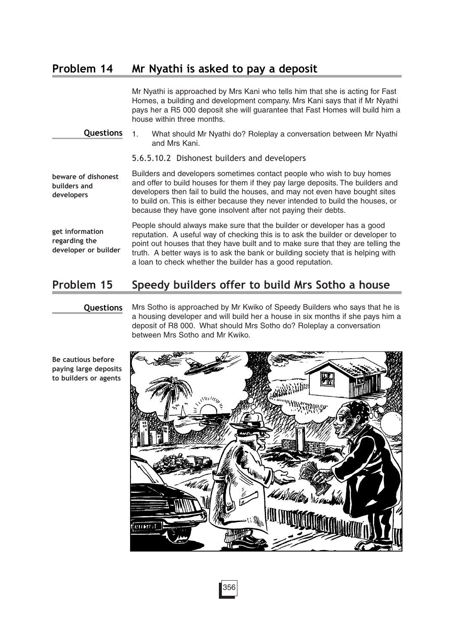### **Problem 14 Mr Nyathi is asked to pay a deposit**

Mr Nyathi is approached by Mrs Kani who tells him that she is acting for Fast Homes, a building and development company. Mrs Kani says that if Mr Nyathi pays her a R5 000 deposit she will guarantee that Fast Homes will build him a house within three months.

1. What should Mr Nyathi do? Roleplay a conversation between Mr Nyathi and Mrs Kani. **Questions**

5.6.5.10.2 Dishonest builders and developers

Builders and developers sometimes contact people who wish to buy homes and offer to build houses for them if they pay large deposits. The builders and developers then fail to build the houses, and may not even have bought sites to build on. This is either because they never intended to build the houses, or because they have gone insolvent after not paying their debts. **beware of dishonest builders and developers**

**get information regarding the developer or builder** People should always make sure that the builder or developer has a good reputation. A useful way of checking this is to ask the builder or developer to point out houses that they have built and to make sure that they are telling the truth. A better ways is to ask the bank or building society that is helping with a loan to check whether the builder has a good reputation.

### **Problem 15 Speedy builders offer to build Mrs Sotho a house**

#### **Questions**

Mrs Sotho is approached by Mr Kwiko of Speedy Builders who says that he is a housing developer and will build her a house in six months if she pays him a deposit of R8 000. What should Mrs Sotho do? Roleplay a conversation between Mrs Sotho and Mr Kwiko.



**Be cautious before paying large deposits to builders or agents**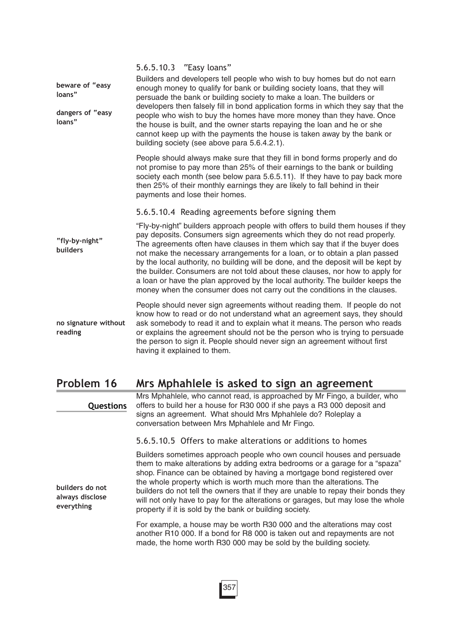|                                 | 5.6.5.10.3 "Easy loans"                                                                                                                                                                                                                                                                                                                                                                                                                                                                                                                                                                                                                                       |
|---------------------------------|---------------------------------------------------------------------------------------------------------------------------------------------------------------------------------------------------------------------------------------------------------------------------------------------------------------------------------------------------------------------------------------------------------------------------------------------------------------------------------------------------------------------------------------------------------------------------------------------------------------------------------------------------------------|
| beware of "easy<br>loans"       | Builders and developers tell people who wish to buy homes but do not earn<br>enough money to qualify for bank or building society loans, that they will<br>persuade the bank or building society to make a loan. The builders or                                                                                                                                                                                                                                                                                                                                                                                                                              |
| dangers of "easy<br>loans"      | developers then falsely fill in bond application forms in which they say that the<br>people who wish to buy the homes have more money than they have. Once<br>the house is built, and the owner starts repaying the loan and he or she<br>cannot keep up with the payments the house is taken away by the bank or<br>building society (see above para 5.6.4.2.1).                                                                                                                                                                                                                                                                                             |
|                                 | People should always make sure that they fill in bond forms properly and do<br>not promise to pay more than 25% of their earnings to the bank or building<br>society each month (see below para 5.6.5.11). If they have to pay back more<br>then 25% of their monthly earnings they are likely to fall behind in their<br>payments and lose their homes.                                                                                                                                                                                                                                                                                                      |
|                                 | 5.6.5.10.4 Reading agreements before signing them                                                                                                                                                                                                                                                                                                                                                                                                                                                                                                                                                                                                             |
| "fly-by-night"<br>builders      | "Fly-by-night" builders approach people with offers to build them houses if they<br>pay deposits. Consumers sign agreements which they do not read properly.<br>The agreements often have clauses in them which say that if the buyer does<br>not make the necessary arrangements for a loan, or to obtain a plan passed<br>by the local authority, no building will be done, and the deposit will be kept by<br>the builder. Consumers are not told about these clauses, nor how to apply for<br>a loan or have the plan approved by the local authority. The builder keeps the<br>money when the consumer does not carry out the conditions in the clauses. |
| no signature without<br>reading | People should never sign agreements without reading them. If people do not<br>know how to read or do not understand what an agreement says, they should<br>ask somebody to read it and to explain what it means. The person who reads<br>or explains the agreement should not be the person who is trying to persuade<br>the person to sign it. People should never sign an agreement without first<br>having it explained to them.                                                                                                                                                                                                                           |
| Problem 16                      | Mrs Mphahlele is asked to sign an agreement                                                                                                                                                                                                                                                                                                                                                                                                                                                                                                                                                                                                                   |
| Questions                       | Mrs Mphahlele, who cannot read, is approached by Mr Fingo, a builder, who<br>offers to build her a house for R30 000 if she pays a R3 000 deposit and<br>signs an agreement. What should Mrs Mphahlele do? Roleplay a<br>conversation between Mrs Mphahlele and Mr Fingo.                                                                                                                                                                                                                                                                                                                                                                                     |

5.6.5.10.5 Offers to make alterations or additions to homes

Builders sometimes approach people who own council houses and persuade them to make alterations by adding extra bedrooms or a garage for a "spaza" shop. Finance can be obtained by having a mortgage bond registered over the whole property which is worth much more than the alterations. The builders do not tell the owners that if they are unable to repay their bonds they will not only have to pay for the alterations or garages, but may lose the whole property if it is sold by the bank or building society.

For example, a house may be worth R30 000 and the alterations may cost another R10 000. If a bond for R8 000 is taken out and repayments are not made, the home worth R30 000 may be sold by the building society.

**builders do not always disclose everything**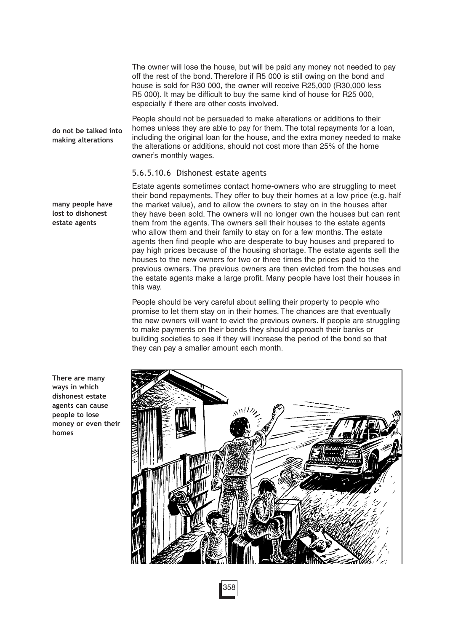The owner will lose the house, but will be paid any money not needed to pay off the rest of the bond. Therefore if R5 000 is still owing on the bond and house is sold for R30 000, the owner will receive R25,000 (R30,000 less R5 000). It may be difficult to buy the same kind of house for R25 000, especially if there are other costs involved.

**do not be talked into making alterations**

People should not be persuaded to make alterations or additions to their homes unless they are able to pay for them. The total repayments for a loan, including the original loan for the house, and the extra money needed to make the alterations or additions, should not cost more than 25% of the home owner's monthly wages.

#### 5.6.5.10.6 Dishonest estate agents

**many people have lost to dishonest estate agents**

Estate agents sometimes contact home-owners who are struggling to meet their bond repayments. They offer to buy their homes at a low price (e.g. half the market value), and to allow the owners to stay on in the houses after they have been sold. The owners will no longer own the houses but can rent them from the agents. The owners sell their houses to the estate agents who allow them and their family to stay on for a few months. The estate agents then find people who are desperate to buy houses and prepared to pay high prices because of the housing shortage. The estate agents sell the houses to the new owners for two or three times the prices paid to the previous owners. The previous owners are then evicted from the houses and the estate agents make a large profit. Many people have lost their houses in this way.

People should be very careful about selling their property to people who promise to let them stay on in their homes. The chances are that eventually the new owners will want to evict the previous owners. If people are struggling to make payments on their bonds they should approach their banks or building societies to see if they will increase the period of the bond so that they can pay a smaller amount each month.



**There are many ways in which dishonest estate agents can cause people to lose money or even their homes**